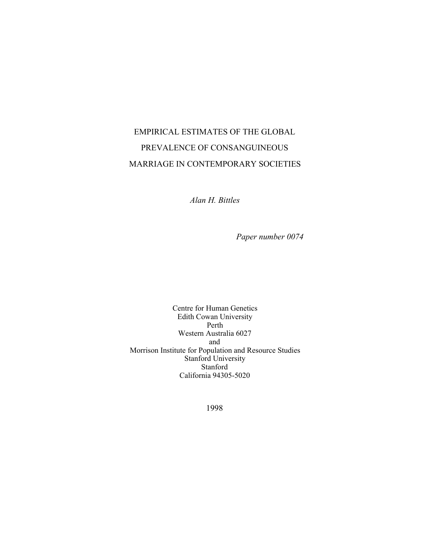# EMPIRICAL ESTIMATES OF THE GLOBAL PREVALENCE OF CONSANGUINEOUS MARRIAGE IN CONTEMPORARY SOCIETIES

*Alan H. Bittles*

*Paper number 0074*

Centre for Human Genetics Edith Cowan University Perth Western Australia 6027 and Morrison Institute for Population and Resource Studies Stanford University Stanford California 94305-5020

1998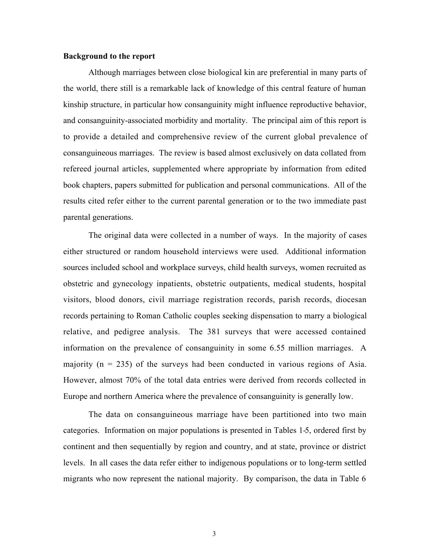#### **Background to the report**

Although marriages between close biological kin are preferential in many parts of the world, there still is a remarkable lack of knowledge of this central feature of human kinship structure, in particular how consanguinity might influence reproductive behavior, and consanguinity-associated morbidity and mortality. The principal aim of this report is to provide a detailed and comprehensive review of the current global prevalence of consanguineous marriages. The review is based almost exclusively on data collated from refereed journal articles, supplemented where appropriate by information from edited book chapters, papers submitted for publication and personal communications. All of the results cited refer either to the current parental generation or to the two immediate past parental generations.

The original data were collected in a number of ways. In the majority of cases either structured or random household interviews were used. Additional information sources included school and workplace surveys, child health surveys, women recruited as obstetric and gynecology inpatients, obstetric outpatients, medical students, hospital visitors, blood donors, civil marriage registration records, parish records, diocesan records pertaining to Roman Catholic couples seeking dispensation to marry a biological relative, and pedigree analysis. The 381 surveys that were accessed contained information on the prevalence of consanguinity in some 6.55 million marriages. A majority ( $n = 235$ ) of the surveys had been conducted in various regions of Asia. However, almost 70% of the total data entries were derived from records collected in Europe and northern America where the prevalence of consanguinity is generally low.

The data on consanguineous marriage have been partitioned into two main categories. Information on major populations is presented in Tables 1-5, ordered first by continent and then sequentially by region and country, and at state, province or district levels. In all cases the data refer either to indigenous populations or to long-term settled migrants who now represent the national majority. By comparison, the data in Table 6

3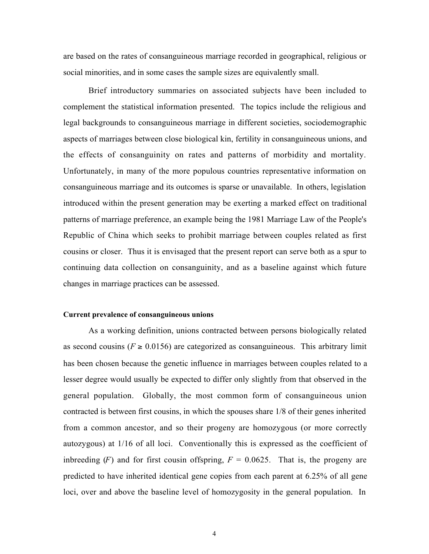are based on the rates of consanguineous marriage recorded in geographical, religious or social minorities, and in some cases the sample sizes are equivalently small.

Brief introductory summaries on associated subjects have been included to complement the statistical information presented. The topics include the religious and legal backgrounds to consanguineous marriage in different societies, sociodemographic aspects of marriages between close biological kin, fertility in consanguineous unions, and the effects of consanguinity on rates and patterns of morbidity and mortality. Unfortunately, in many of the more populous countries representative information on consanguineous marriage and its outcomes is sparse or unavailable. In others, legislation introduced within the present generation may be exerting a marked effect on traditional patterns of marriage preference, an example being the 1981 Marriage Law of the People's Republic of China which seeks to prohibit marriage between couples related as first cousins or closer. Thus it is envisaged that the present report can serve both as a spur to continuing data collection on consanguinity, and as a baseline against which future changes in marriage practices can be assessed.

#### **Current prevalence of consanguineous unions**

As a working definition, unions contracted between persons biologically related as second cousins ( $F \ge 0.0156$ ) are categorized as consanguineous. This arbitrary limit has been chosen because the genetic influence in marriages between couples related to a lesser degree would usually be expected to differ only slightly from that observed in the general population. Globally, the most common form of consanguineous union contracted is between first cousins, in which the spouses share 1/8 of their genes inherited from a common ancestor, and so their progeny are homozygous (or more correctly autozygous) at 1/16 of all loci. Conventionally this is expressed as the coefficient of inbreeding  $(F)$  and for first cousin offspring,  $F = 0.0625$ . That is, the progeny are predicted to have inherited identical gene copies from each parent at 6.25% of all gene loci, over and above the baseline level of homozygosity in the general population. In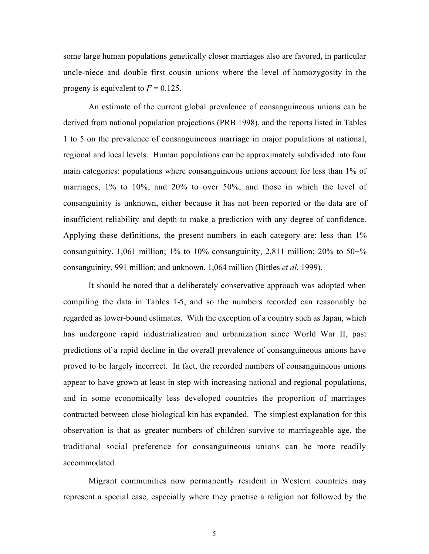some large human populations genetically closer marriages also are favored, in particular uncle-niece and double first cousin unions where the level of homozygosity in the progeny is equivalent to  $F = 0.125$ .

An estimate of the current global prevalence of consanguineous unions can be derived from national population projections (PRB 1998), and the reports listed in Tables 1 to 5 on the prevalence of consanguineous marriage in major populations at national, regional and local levels. Human populations can be approximately subdivided into four main categories: populations where consanguineous unions account for less than 1% of marriages, 1% to 10%, and 20% to over 50%, and those in which the level of consanguinity is unknown, either because it has not been reported or the data are of insufficient reliability and depth to make a prediction with any degree of confidence. Applying these definitions, the present numbers in each category are: less than 1% consanguinity, 1,061 million; 1% to 10% consanguinity, 2,811 million; 20% to 50+% consanguinity, 991 million; and unknown, 1,064 million (Bittles *et al.* 1999).

It should be noted that a deliberately conservative approach was adopted when compiling the data in Tables 1-5, and so the numbers recorded can reasonably be regarded as lower-bound estimates. With the exception of a country such as Japan, which has undergone rapid industrialization and urbanization since World War II, past predictions of a rapid decline in the overall prevalence of consanguineous unions have proved to be largely incorrect. In fact, the recorded numbers of consanguineous unions appear to have grown at least in step with increasing national and regional populations, and in some economically less developed countries the proportion of marriages contracted between close biological kin has expanded. The simplest explanation for this observation is that as greater numbers of children survive to marriageable age, the traditional social preference for consanguineous unions can be more readily accommodated.

Migrant communities now permanently resident in Western countries may represent a special case, especially where they practise a religion not followed by the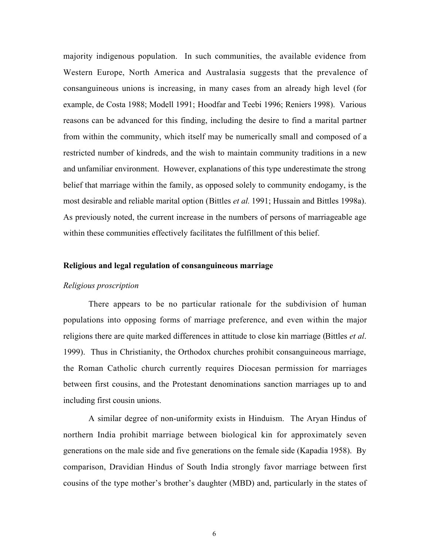majority indigenous population. In such communities, the available evidence from Western Europe, North America and Australasia suggests that the prevalence of consanguineous unions is increasing, in many cases from an already high level (for example, de Costa 1988; Modell 1991; Hoodfar and Teebi 1996; Reniers 1998). Various reasons can be advanced for this finding, including the desire to find a marital partner from within the community, which itself may be numerically small and composed of a restricted number of kindreds, and the wish to maintain community traditions in a new and unfamiliar environment. However, explanations of this type underestimate the strong belief that marriage within the family, as opposed solely to community endogamy, is the most desirable and reliable marital option (Bittles *et al.* 1991; Hussain and Bittles 1998a). As previously noted, the current increase in the numbers of persons of marriageable age within these communities effectively facilitates the fulfillment of this belief.

#### **Religious and legal regulation of consanguineous marriage**

#### *Religious proscription*

There appears to be no particular rationale for the subdivision of human populations into opposing forms of marriage preference, and even within the major religions there are quite marked differences in attitude to close kin marriage (Bittles *et al*. 1999). Thus in Christianity, the Orthodox churches prohibit consanguineous marriage, the Roman Catholic church currently requires Diocesan permission for marriages between first cousins, and the Protestant denominations sanction marriages up to and including first cousin unions.

A similar degree of non-uniformity exists in Hinduism. The Aryan Hindus of northern India prohibit marriage between biological kin for approximately seven generations on the male side and five generations on the female side (Kapadia 1958). By comparison, Dravidian Hindus of South India strongly favor marriage between first cousins of the type mother's brother's daughter (MBD) and, particularly in the states of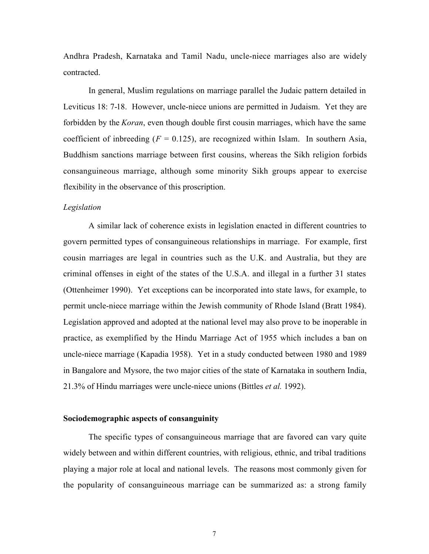Andhra Pradesh, Karnataka and Tamil Nadu, uncle-niece marriages also are widely contracted.

In general, Muslim regulations on marriage parallel the Judaic pattern detailed in Leviticus 18: 7-18. However, uncle-niece unions are permitted in Judaism. Yet they are forbidden by the *Koran*, even though double first cousin marriages, which have the same coefficient of inbreeding  $(F = 0.125)$ , are recognized within Islam. In southern Asia, Buddhism sanctions marriage between first cousins, whereas the Sikh religion forbids consanguineous marriage, although some minority Sikh groups appear to exercise flexibility in the observance of this proscription.

#### *Legislation*

A similar lack of coherence exists in legislation enacted in different countries to govern permitted types of consanguineous relationships in marriage. For example, first cousin marriages are legal in countries such as the U.K. and Australia, but they are criminal offenses in eight of the states of the U.S.A. and illegal in a further 31 states (Ottenheimer 1990). Yet exceptions can be incorporated into state laws, for example, to permit uncle-niece marriage within the Jewish community of Rhode Island (Bratt 1984). Legislation approved and adopted at the national level may also prove to be inoperable in practice, as exemplified by the Hindu Marriage Act of 1955 which includes a ban on uncle-niece marriage (Kapadia 1958). Yet in a study conducted between 1980 and 1989 in Bangalore and Mysore, the two major cities of the state of Karnataka in southern India, 21.3% of Hindu marriages were uncle-niece unions (Bittles *et al.* 1992).

#### **Sociodemographic aspects of consanguinity**

The specific types of consanguineous marriage that are favored can vary quite widely between and within different countries, with religious, ethnic, and tribal traditions playing a major role at local and national levels. The reasons most commonly given for the popularity of consanguineous marriage can be summarized as: a strong family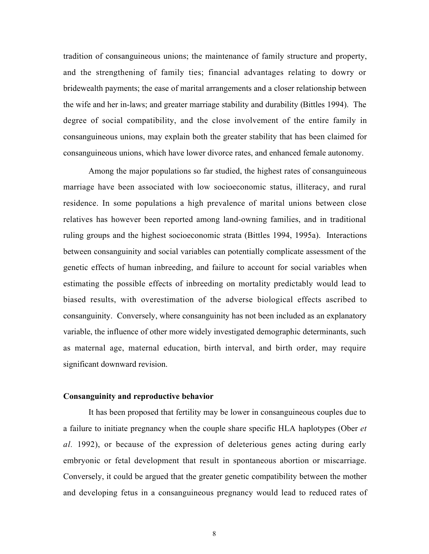tradition of consanguineous unions; the maintenance of family structure and property, and the strengthening of family ties; financial advantages relating to dowry or bridewealth payments; the ease of marital arrangements and a closer relationship between the wife and her in-laws; and greater marriage stability and durability (Bittles 1994). The degree of social compatibility, and the close involvement of the entire family in consanguineous unions, may explain both the greater stability that has been claimed for consanguineous unions, which have lower divorce rates, and enhanced female autonomy.

Among the major populations so far studied, the highest rates of consanguineous marriage have been associated with low socioeconomic status, illiteracy, and rural residence. In some populations a high prevalence of marital unions between close relatives has however been reported among land-owning families, and in traditional ruling groups and the highest socioeconomic strata (Bittles 1994, 1995a). Interactions between consanguinity and social variables can potentially complicate assessment of the genetic effects of human inbreeding, and failure to account for social variables when estimating the possible effects of inbreeding on mortality predictably would lead to biased results, with overestimation of the adverse biological effects ascribed to consanguinity. Conversely, where consanguinity has not been included as an explanatory variable, the influence of other more widely investigated demographic determinants, such as maternal age, maternal education, birth interval, and birth order, may require significant downward revision.

#### **Consanguinity and reproductive behavior**

It has been proposed that fertility may be lower in consanguineous couples due to a failure to initiate pregnancy when the couple share specific HLA haplotypes (Ober *et al.* 1992), or because of the expression of deleterious genes acting during early embryonic or fetal development that result in spontaneous abortion or miscarriage. Conversely, it could be argued that the greater genetic compatibility between the mother and developing fetus in a consanguineous pregnancy would lead to reduced rates of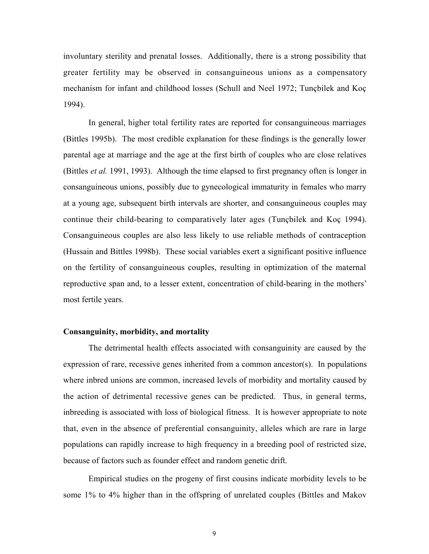involuntary sterility and prenatal losses. Additionally, there is a strong possibility that greater fertility may be observed in consanguineous unions as a compensatory mechanism for infant and childhood losses (Schull and Neel 1972; Tunçbilek and Koç 1994).

In general, higher total fertility rates are reported for consanguineous marriages (Bittles 1995b). The most credible explanation for these findings is the generally lower parental age at marriage and the age at the first birth of couples who are close relatives (Bittles *et al.* 1991, 1993). Although the time elapsed to first pregnancy often is longer in consanguineous unions, possibly due to gynecological immaturity in females who marry at a young age, subsequent birth intervals are shorter, and consanguineous couples may continue their child-bearing to comparatively later ages (Tunçbilek and Koç 1994). Consanguineous couples are also less likely to use reliable methods of contraception (Hussain and Bittles 1998b). These social variables exert a significant positive influence on the fertility of consanguineous couples, resulting in optimization of the maternal reproductive span and, to a lesser extent, concentration of child-bearing in the mothers' most fertile years.

#### **Consanguinity, morbidity, and mortality**

The detrimental health effects associated with consanguinity are caused by the expression of rare, recessive genes inherited from a common ancestor(s). In populations where inbred unions are common, increased levels of morbidity and mortality caused by the action of detrimental recessive genes can be predicted. Thus, in general terms, inbreeding is associated with loss of biological fitness. It is however appropriate to note that, even in the absence of preferential consanguinity, alleles which are rare in large populations can rapidly increase to high frequency in a breeding pool of restricted size, because of factors such as founder effect and random genetic drift.

Empirical studies on the progeny of first cousins indicate morbidity levels to be some 1% to 4% higher than in the offspring of unrelated couples (Bittles and Makov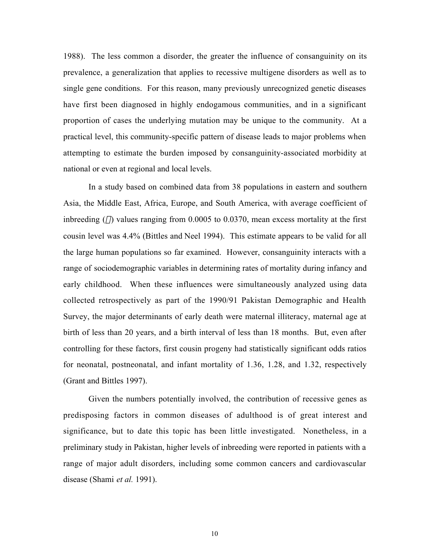1988). The less common a disorder, the greater the influence of consanguinity on its prevalence, a generalization that applies to recessive multigene disorders as well as to single gene conditions. For this reason, many previously unrecognized genetic diseases have first been diagnosed in highly endogamous communities, and in a significant proportion of cases the underlying mutation may be unique to the community. At a practical level, this community-specific pattern of disease leads to major problems when attempting to estimate the burden imposed by consanguinity-associated morbidity at national or even at regional and local levels.

In a study based on combined data from 38 populations in eastern and southern Asia, the Middle East, Africa, Europe, and South America, with average coefficient of inbreeding  $(\alpha)$  values ranging from 0.0005 to 0.0370, mean excess mortality at the first cousin level was 4.4% (Bittles and Neel 1994). This estimate appears to be valid for all the large human populations so far examined. However, consanguinity interacts with a range of sociodemographic variables in determining rates of mortality during infancy and early childhood. When these influences were simultaneously analyzed using data collected retrospectively as part of the 1990/91 Pakistan Demographic and Health Survey, the major determinants of early death were maternal illiteracy, maternal age at birth of less than 20 years, and a birth interval of less than 18 months. But, even after controlling for these factors, first cousin progeny had statistically significant odds ratios for neonatal, postneonatal, and infant mortality of 1.36, 1.28, and 1.32, respectively (Grant and Bittles 1997).

Given the numbers potentially involved, the contribution of recessive genes as predisposing factors in common diseases of adulthood is of great interest and significance, but to date this topic has been little investigated. Nonetheless, in a preliminary study in Pakistan, higher levels of inbreeding were reported in patients with a range of major adult disorders, including some common cancers and cardiovascular disease (Shami *et al.* 1991).

10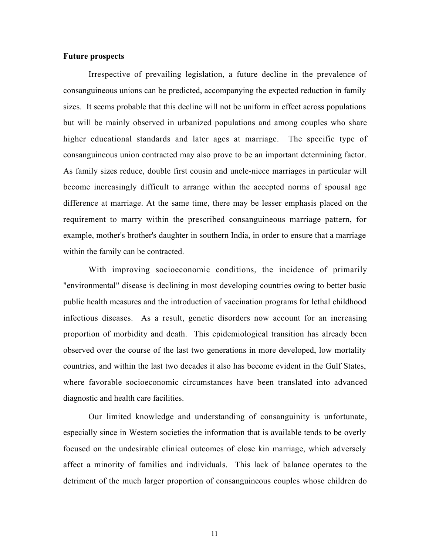#### **Future prospects**

Irrespective of prevailing legislation, a future decline in the prevalence of consanguineous unions can be predicted, accompanying the expected reduction in family sizes. It seems probable that this decline will not be uniform in effect across populations but will be mainly observed in urbanized populations and among couples who share higher educational standards and later ages at marriage. The specific type of consanguineous union contracted may also prove to be an important determining factor. As family sizes reduce, double first cousin and uncle-niece marriages in particular will become increasingly difficult to arrange within the accepted norms of spousal age difference at marriage. At the same time, there may be lesser emphasis placed on the requirement to marry within the prescribed consanguineous marriage pattern, for example, mother's brother's daughter in southern India, in order to ensure that a marriage within the family can be contracted.

With improving socioeconomic conditions, the incidence of primarily "environmental" disease is declining in most developing countries owing to better basic public health measures and the introduction of vaccination programs for lethal childhood infectious diseases. As a result, genetic disorders now account for an increasing proportion of morbidity and death. This epidemiological transition has already been observed over the course of the last two generations in more developed, low mortality countries, and within the last two decades it also has become evident in the Gulf States, where favorable socioeconomic circumstances have been translated into advanced diagnostic and health care facilities.

Our limited knowledge and understanding of consanguinity is unfortunate, especially since in Western societies the information that is available tends to be overly focused on the undesirable clinical outcomes of close kin marriage, which adversely affect a minority of families and individuals. This lack of balance operates to the detriment of the much larger proportion of consanguineous couples whose children do

11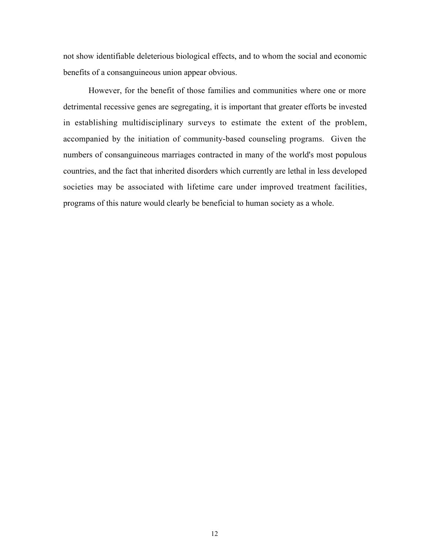not show identifiable deleterious biological effects, and to whom the social and economic benefits of a consanguineous union appear obvious.

However, for the benefit of those families and communities where one or more detrimental recessive genes are segregating, it is important that greater efforts be invested in establishing multidisciplinary surveys to estimate the extent of the problem, accompanied by the initiation of community-based counseling programs. Given the numbers of consanguineous marriages contracted in many of the world's most populous countries, and the fact that inherited disorders which currently are lethal in less developed societies may be associated with lifetime care under improved treatment facilities, programs of this nature would clearly be beneficial to human society as a whole.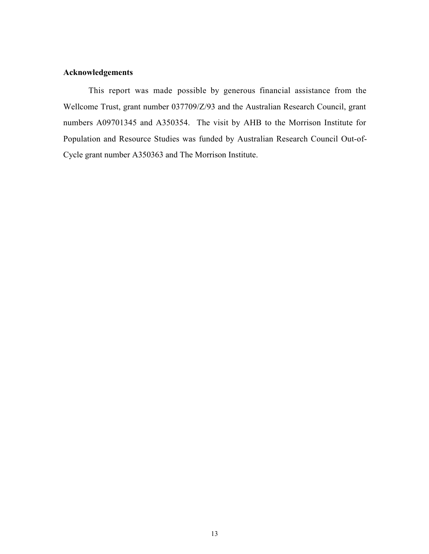#### **Acknowledgements**

This report was made possible by generous financial assistance from the Wellcome Trust, grant number 037709/Z/93 and the Australian Research Council, grant numbers A09701345 and A350354. The visit by AHB to the Morrison Institute for Population and Resource Studies was funded by Australian Research Council Out-of-Cycle grant number A350363 and The Morrison Institute.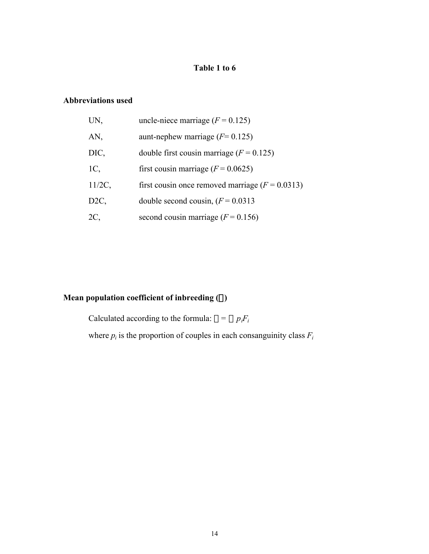### **Table 1 to 6**

### **Abbreviations used**

| UN,             | uncle-niece marriage ( $F = 0.125$ )                |
|-----------------|-----------------------------------------------------|
| AN,             | aunt-nephew marriage ( $F = 0.125$ )                |
| DIC,            | double first cousin marriage $(F = 0.125)$          |
| 1C,             | first cousin marriage ( $F = 0.0625$ )              |
| $11/2C$ ,       | first cousin once removed marriage ( $F = 0.0313$ ) |
| D <sub>2C</sub> | double second cousin, $(F = 0.0313)$                |
| 2C,             | second cousin marriage ( $F = 0.156$ )              |

### **Mean population coefficient of inbreeding**  $(\alpha)$

Calculated according to the formula:  $\alpha = \sum p_i F_i$ where  $p_i$  is the proportion of couples in each consanguinity class  $F_i$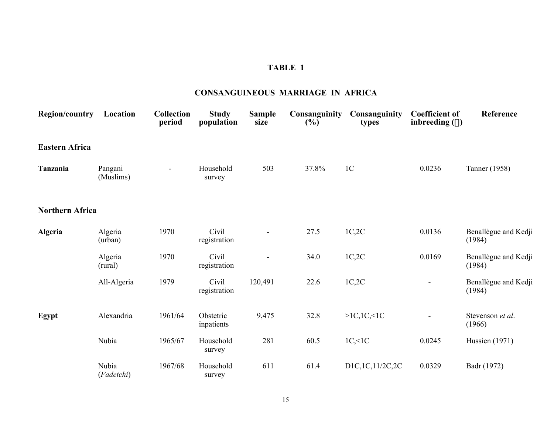### **CONSANGUINEOUS MARRIAGE IN AFRICA**

| <b>Region/country</b>  | Location             | <b>Collection</b><br>period | <b>Study</b><br>population | <b>Sample</b><br>size | Consanguinity<br>$(\%)$ | Consanguinity<br>types | <b>Coefficient of</b><br>inbreeding $(\alpha)$ | Reference                      |
|------------------------|----------------------|-----------------------------|----------------------------|-----------------------|-------------------------|------------------------|------------------------------------------------|--------------------------------|
| <b>Eastern Africa</b>  |                      |                             |                            |                       |                         |                        |                                                |                                |
| Tanzania               | Pangani<br>(Muslims) | $\blacksquare$              | Household<br>survey        | 503                   | 37.8%                   | 1 <sup>C</sup>         | 0.0236                                         | Tanner (1958)                  |
| <b>Northern Africa</b> |                      |                             |                            |                       |                         |                        |                                                |                                |
| Algeria                | Algeria<br>(urban)   | 1970                        | Civil<br>registration      |                       | 27.5                    | 1C,2C                  | 0.0136                                         | Benallègue and Kedji<br>(1984) |
|                        | Algeria<br>(rural)   | 1970                        | Civil<br>registration      | $\sim$                | 34.0                    | 1C,2C                  | 0.0169                                         | Benallègue and Kedji<br>(1984) |
|                        | All-Algeria          | 1979                        | Civil<br>registration      | 120,491               | 22.6                    | 1C,2C                  |                                                | Benallègue and Kedji<br>(1984) |
| Egypt                  | Alexandria           | 1961/64                     | Obstetric<br>inpatients    | 9,475                 | 32.8                    | >1C, 1C, 1C            | $\blacksquare$                                 | Stevenson et al.<br>(1966)     |
|                        | Nubia                | 1965/67                     | Household<br>survey        | 281                   | 60.5                    | 1C, 1C                 | 0.0245                                         | Hussien (1971)                 |
|                        | Nubia<br>(Fadetchi)  | 1967/68                     | Household<br>survey        | 611                   | 61.4                    | D1C,1C,11/2C,2C        | 0.0329                                         | Badr (1972)                    |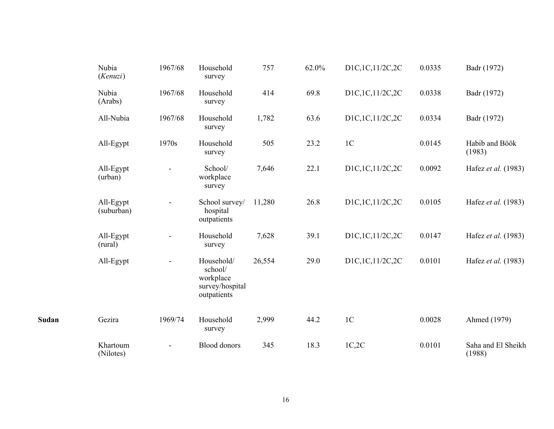|       | Nubia<br>(Kenuzi)       | 1967/68        | Household<br>survey                                                  | 757    | 62.0% | D1C,1C,11/2C,2C | 0.0335 | Badr (1972)                  |
|-------|-------------------------|----------------|----------------------------------------------------------------------|--------|-------|-----------------|--------|------------------------------|
|       | Nubia<br>(Arabs)        | 1967/68        | Household<br>survey                                                  | 414    | 69.8  | D1C,1C,11/2C,2C | 0.0338 | Badr (1972)                  |
|       | All-Nubia               | 1967/68        | Household<br>survey                                                  | 1,782  | 63.6  | D1C,1C,11/2C,2C | 0.0334 | Badr (1972)                  |
|       | All-Egypt               | 1970s          | Household<br>survey                                                  | 505    | 23.2  | 1 <sup>C</sup>  | 0.0145 | Habib and Böök<br>(1983)     |
|       | All-Egypt<br>(urban)    | $\blacksquare$ | School/<br>workplace<br>survey                                       | 7,646  | 22.1  | D1C,1C,11/2C,2C | 0.0092 | Hafez et al. (1983)          |
|       | All-Egypt<br>(suburban) |                | School survey/<br>hospital<br>outpatients                            | 11,280 | 26.8  | D1C,1C,11/2C,2C | 0.0105 | Hafez <i>et al.</i> (1983)   |
|       | All-Egypt<br>(rural)    |                | Household<br>survey                                                  | 7,628  | 39.1  | D1C,1C,11/2C,2C | 0.0147 | Hafez et al. (1983)          |
|       | All-Egypt               |                | Household/<br>school/<br>workplace<br>survey/hospital<br>outpatients | 26,554 | 29.0  | D1C,1C,11/2C,2C | 0.0101 | Hafez et al. (1983)          |
| Sudan | Gezira                  | 1969/74        | Household<br>survey                                                  | 2,999  | 44.2  | $1C$            | 0.0028 | Ahmed (1979)                 |
|       | Khartoum<br>(Nilotes)   |                | <b>Blood</b> donors                                                  | 345    | 18.3  | 1C,2C           | 0.0101 | Saha and El Sheikh<br>(1988) |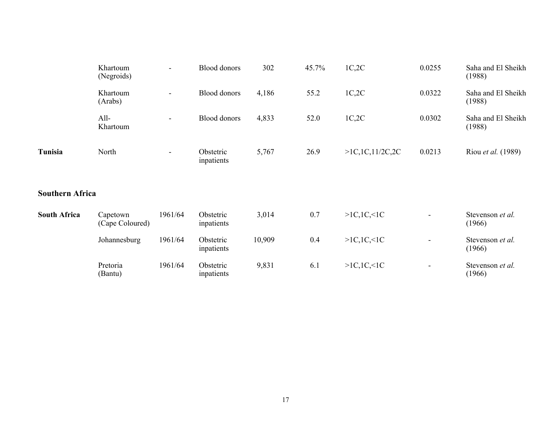|                        | Khartoum<br>(Negroids)      | $\overline{\phantom{a}}$ | <b>Blood</b> donors     | 302    | 45.7% | 1C,2C              | 0.0255                       | Saha and El Sheikh<br>(1988) |
|------------------------|-----------------------------|--------------------------|-------------------------|--------|-------|--------------------|------------------------------|------------------------------|
|                        | Khartoum<br>(Arabs)         | $\overline{\phantom{a}}$ | <b>Blood</b> donors     | 4,186  | 55.2  | 1C,2C              | 0.0322                       | Saha and El Sheikh<br>(1988) |
|                        | All-<br>Khartoum            | $\blacksquare$           | <b>Blood</b> donors     | 4,833  | 52.0  | 1C,2C              | 0.0302                       | Saha and El Sheikh<br>(1988) |
| Tunisia                | North                       | $\overline{\phantom{a}}$ | Obstetric<br>inpatients | 5,767  | 26.9  | >1C, 1C, 11/2C, 2C | 0.0213                       | Riou <i>et al.</i> (1989)    |
| <b>Southern Africa</b> |                             |                          |                         |        |       |                    |                              |                              |
| <b>South Africa</b>    | Capetown<br>(Cape Coloured) | 1961/64                  | Obstetric<br>inpatients | 3,014  | 0.7   | >1C, 1C, 1C        |                              | Stevenson et al.<br>(1966)   |
|                        | Johannesburg                | 1961/64                  | Obstetric<br>inpatients | 10,909 | 0.4   | >1C, 1C, 1C        | $\qquad \qquad \blacksquare$ | Stevenson et al.<br>(1966)   |
|                        | Pretoria<br>(Bantu)         | 1961/64                  | Obstetric<br>inpatients | 9,831  | 6.1   | >1C, 1C, 1C        | $\qquad \qquad \blacksquare$ | Stevenson et al.<br>(1966)   |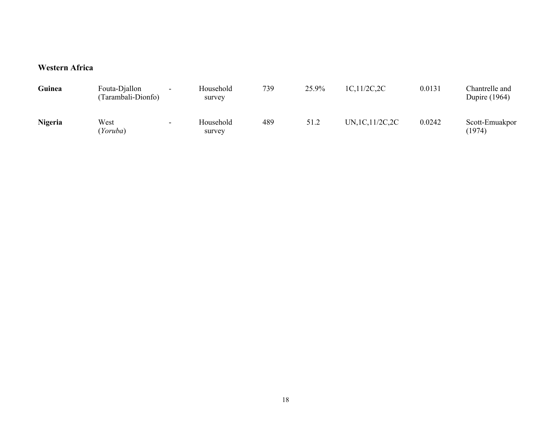### **Western Africa**

| Guinea  | Fouta-Djallon<br>Tarambali-Dionfo) | $\sim$ | Household<br>survey | 739 | 25.9% | 1C, 11/2C, 2C     | 0.0131 | Chantrelle and<br><b>Dupire</b> (1964) |
|---------|------------------------------------|--------|---------------------|-----|-------|-------------------|--------|----------------------------------------|
| Nigeria | West<br>Yoruba)                    | $\sim$ | Household<br>survey | 489 | 51.2  | UN, 1C, 11/2C, 2C | 0.0242 | Scott-Emuakpor<br>(1974)               |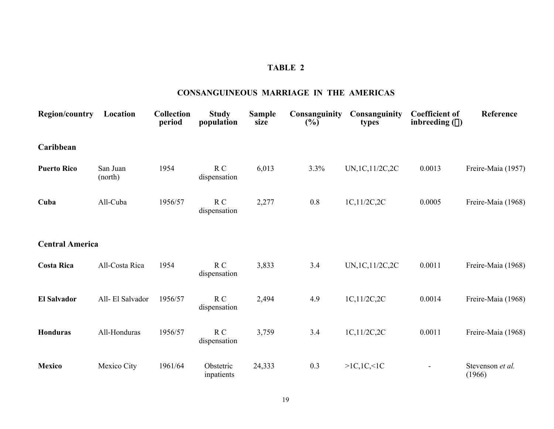#### **CONSANGUINEOUS MARRIAGE IN THE AMERICAS**

| <b>Region/country</b>  | Location            | Collection<br>period | <b>Study</b><br>population     | <b>Sample</b><br>size | Consanguinity<br>$(\%)$ | Consanguinity<br>types | <b>Coefficient of</b><br>inbreeding $(\alpha)$ | Reference                  |
|------------------------|---------------------|----------------------|--------------------------------|-----------------------|-------------------------|------------------------|------------------------------------------------|----------------------------|
| Caribbean              |                     |                      |                                |                       |                         |                        |                                                |                            |
| <b>Puerto Rico</b>     | San Juan<br>(north) | 1954                 | R C<br>dispensation            | 6,013                 | 3.3%                    | UN, 1C, 11/2C, 2C      | 0.0013                                         | Freire-Maia (1957)         |
| Cuba                   | All-Cuba            | 1956/57              | $R_{C}$<br>dispensation        | 2,277                 | $0.8\,$                 | 1C,11/2C,2C            | 0.0005                                         | Freire-Maia (1968)         |
| <b>Central America</b> |                     |                      |                                |                       |                         |                        |                                                |                            |
| <b>Costa Rica</b>      | All-Costa Rica      | 1954                 | R <sub>C</sub><br>dispensation | 3,833                 | 3.4                     | UN, 1C, 11/2C, 2C      | 0.0011                                         | Freire-Maia (1968)         |
| <b>El Salvador</b>     | All-El Salvador     | 1956/57              | $R_{C}$<br>dispensation        | 2,494                 | 4.9                     | 1C,11/2C,2C            | 0.0014                                         | Freire-Maia (1968)         |
| <b>Honduras</b>        | All-Honduras        | 1956/57              | R C<br>dispensation            | 3,759                 | 3.4                     | 1C,11/2C,2C            | 0.0011                                         | Freire-Maia (1968)         |
| <b>Mexico</b>          | Mexico City         | 1961/64              | Obstetric<br>inpatients        | 24,333                | 0.3                     | >1C, 1C, 1C            |                                                | Stevenson et al.<br>(1966) |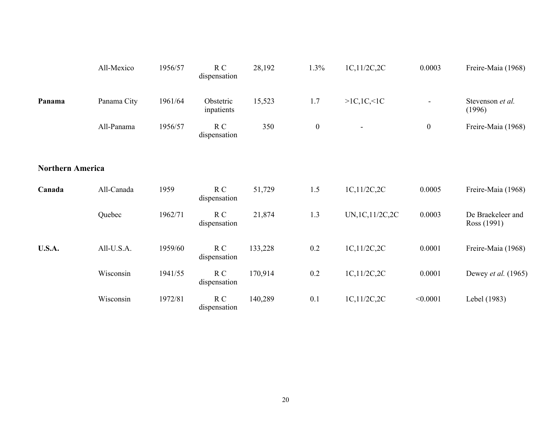|                         | All-Mexico  | 1956/57 | R C<br>dispensation     | 28,192  | 1.3%         | 1C,11/2C,2C              | 0.0003           | Freire-Maia (1968)               |
|-------------------------|-------------|---------|-------------------------|---------|--------------|--------------------------|------------------|----------------------------------|
| Panama                  | Panama City | 1961/64 | Obstetric<br>inpatients | 15,523  | 1.7          | >1C, 1C, 1C              | $\blacksquare$   | Stevenson et al.<br>(1996)       |
|                         | All-Panama  | 1956/57 | R C<br>dispensation     | 350     | $\mathbf{0}$ | $\overline{\phantom{a}}$ | $\boldsymbol{0}$ | Freire-Maia (1968)               |
| <b>Northern America</b> |             |         |                         |         |              |                          |                  |                                  |
| Canada                  | All-Canada  | 1959    | R C<br>dispensation     | 51,729  | 1.5          | 1C,11/2C,2C              | 0.0005           | Freire-Maia (1968)               |
|                         | Quebec      | 1962/71 | R C<br>dispensation     | 21,874  | 1.3          | UN, 1C, 11/2C, 2C        | 0.0003           | De Braekeleer and<br>Ross (1991) |
| <b>U.S.A.</b>           | All-U.S.A.  | 1959/60 | $R_{C}$<br>dispensation | 133,228 | 0.2          | 1C,11/2C,2C              | 0.0001           | Freire-Maia (1968)               |
|                         | Wisconsin   | 1941/55 | R C<br>dispensation     | 170,914 | 0.2          | 1C,11/2C,2C              | 0.0001           | Dewey et al. (1965)              |
|                         | Wisconsin   | 1972/81 | R C<br>dispensation     | 140,289 | 0.1          | 1C,11/2C,2C              | < 0.0001         | Lebel (1983)                     |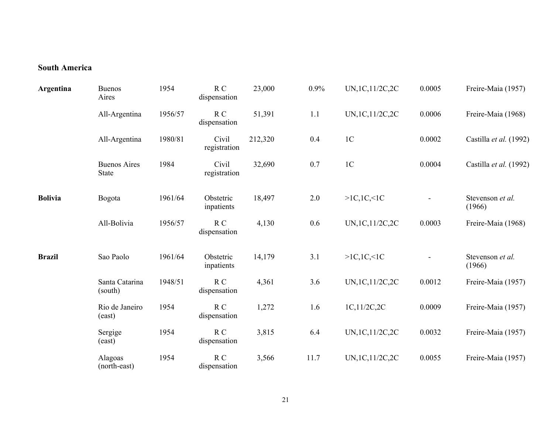### **South America**

| Argentina      | <b>Buenos</b><br>Aires              | 1954    | R C<br>dispensation            | 23,000  | 0.9% | UN, 1C, 11/2C, 2C | 0.0005         | Freire-Maia (1957)         |
|----------------|-------------------------------------|---------|--------------------------------|---------|------|-------------------|----------------|----------------------------|
|                | All-Argentina                       | 1956/57 | R <sub>C</sub><br>dispensation | 51,391  | 1.1  | UN, 1C, 11/2C, 2C | 0.0006         | Freire-Maia (1968)         |
|                | All-Argentina                       | 1980/81 | Civil<br>registration          | 212,320 | 0.4  | 1 <sup>C</sup>    | 0.0002         | Castilla et al. (1992)     |
|                | <b>Buenos Aires</b><br><b>State</b> | 1984    | Civil<br>registration          | 32,690  | 0.7  | $1C$              | 0.0004         | Castilla et al. (1992)     |
| <b>Bolivia</b> | Bogota                              | 1961/64 | Obstetric<br>inpatients        | 18,497  | 2.0  | >1C, 1C, 1C       | $\blacksquare$ | Stevenson et al.<br>(1966) |
|                | All-Bolivia                         | 1956/57 | R <sub>C</sub><br>dispensation | 4,130   | 0.6  | UN, 1C, 11/2C, 2C | 0.0003         | Freire-Maia (1968)         |
| <b>Brazil</b>  | Sao Paolo                           | 1961/64 | Obstetric<br>inpatients        | 14,179  | 3.1  | >1C, 1C, 1C       |                | Stevenson et al.<br>(1966) |
|                | Santa Catarina<br>(south)           | 1948/51 | R C<br>dispensation            | 4,361   | 3.6  | UN, 1C, 11/2C, 2C | 0.0012         | Freire-Maia (1957)         |
|                | Rio de Janeiro<br>(east)            | 1954    | R <sub>C</sub><br>dispensation | 1,272   | 1.6  | 1C,11/2C,2C       | 0.0009         | Freire-Maia (1957)         |
|                | Sergige<br>(east)                   | 1954    | R C<br>dispensation            | 3,815   | 6.4  | UN, 1C, 11/2C, 2C | 0.0032         | Freire-Maia (1957)         |
|                | Alagoas<br>(north-east)             | 1954    | R <sub>C</sub><br>dispensation | 3,566   | 11.7 | UN, 1C, 11/2C, 2C | 0.0055         | Freire-Maia (1957)         |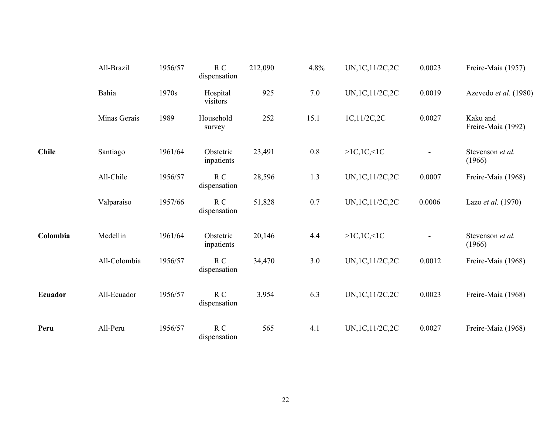|              | All-Brazil   | 1956/57 | R C<br>dispensation            | 212,090 | 4.8%    | UN, 1C, 11/2C, 2C | 0.0023 | Freire-Maia (1957)             |
|--------------|--------------|---------|--------------------------------|---------|---------|-------------------|--------|--------------------------------|
|              | Bahia        | 1970s   | Hospital<br>visitors           | 925     | 7.0     | UN, 1C, 11/2C, 2C | 0.0019 | Azevedo et al. (1980)          |
|              | Minas Gerais | 1989    | Household<br>survey            | 252     | 15.1    | 1C,11/2C,2C       | 0.0027 | Kaku and<br>Freire-Maia (1992) |
| <b>Chile</b> | Santiago     | 1961/64 | Obstetric<br>inpatients        | 23,491  | $0.8\,$ | >1C, 1C, 1C       |        | Stevenson et al.<br>(1966)     |
|              | All-Chile    | 1956/57 | R C<br>dispensation            | 28,596  | 1.3     | UN, 1C, 11/2C, 2C | 0.0007 | Freire-Maia (1968)             |
|              | Valparaiso   | 1957/66 | R C<br>dispensation            | 51,828  | 0.7     | UN, 1C, 11/2C, 2C | 0.0006 | Lazo et al. (1970)             |
| Colombia     | Medellin     | 1961/64 | Obstetric<br>inpatients        | 20,146  | 4.4     | >1C, 1C, 1C       |        | Stevenson et al.<br>(1966)     |
|              | All-Colombia | 1956/57 | R C<br>dispensation            | 34,470  | 3.0     | UN, 1C, 11/2C, 2C | 0.0012 | Freire-Maia (1968)             |
| Ecuador      | All-Ecuador  | 1956/57 | R C<br>dispensation            | 3,954   | 6.3     | UN, 1C, 11/2C, 2C | 0.0023 | Freire-Maia (1968)             |
| Peru         | All-Peru     | 1956/57 | R <sub>C</sub><br>dispensation | 565     | 4.1     | UN, 1C, 11/2C, 2C | 0.0027 | Freire-Maia (1968)             |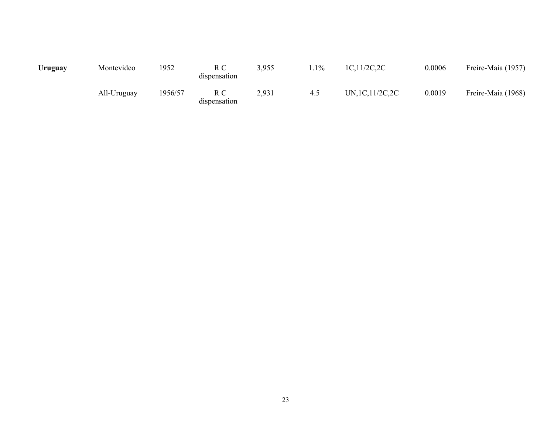| Uruguay | Montevideo  | 1952    | dispensation        | 3,955 | $.1\%$ | 1C,11/2C,2C       | 0.0006 | Freire-Maia (1957) |
|---------|-------------|---------|---------------------|-------|--------|-------------------|--------|--------------------|
|         | All-Uruguay | 1956/57 | R C<br>dispensation | 2,931 | 4.5    | UN, 1C, 11/2C, 2C | 0.0019 | Freire-Maia (1968) |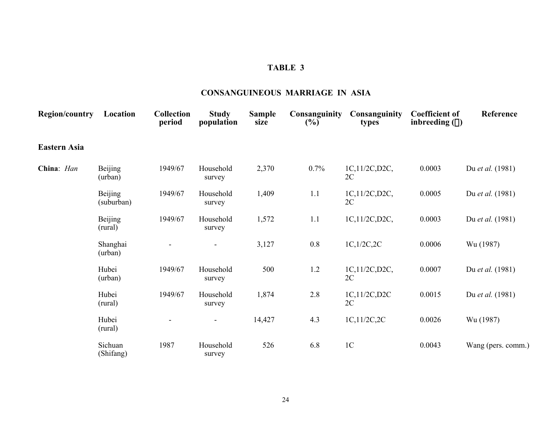### **CONSANGUINEOUS MARRIAGE IN ASIA**

| <b>Region/country</b> | Location                  | <b>Collection</b><br>period | <b>Study</b><br>population | <b>Sample</b><br>size | Consanguinity<br>(%) | Consanguinity<br>types | <b>Coefficient of</b><br>inbreeding $(\alpha)$ | Reference               |
|-----------------------|---------------------------|-----------------------------|----------------------------|-----------------------|----------------------|------------------------|------------------------------------------------|-------------------------|
| <b>Eastern Asia</b>   |                           |                             |                            |                       |                      |                        |                                                |                         |
| China: Han            | <b>Beijing</b><br>(urban) | 1949/67                     | Household<br>survey        | 2,370                 | 0.7%                 | 1C,11/2C,D2C,<br>2C    | 0.0003                                         | Du <i>et al.</i> (1981) |
|                       | Beijing<br>(suburban)     | 1949/67                     | Household<br>survey        | 1,409                 | 1.1                  | 1C,11/2C,D2C,<br>2C    | 0.0005                                         | Du et al. (1981)        |
|                       | <b>Beijing</b><br>(rural) | 1949/67                     | Household<br>survey        | 1,572                 | 1.1                  | 1C,11/2C,D2C,          | 0.0003                                         | Du <i>et al.</i> (1981) |
|                       | Shanghai<br>(urban)       |                             |                            | 3,127                 | $0.8\,$              | 1C, 1/2C, 2C           | 0.0006                                         | Wu (1987)               |
|                       | Hubei<br>(urban)          | 1949/67                     | Household<br>survey        | 500                   | 1.2                  | 1C,11/2C,D2C,<br>2C    | 0.0007                                         | Du et al. (1981)        |
|                       | Hubei<br>(rural)          | 1949/67                     | Household<br>survey        | 1,874                 | 2.8                  | 1C,11/2C,D2C<br>2C     | 0.0015                                         | Du et al. (1981)        |
|                       | Hubei<br>(rural)          |                             |                            | 14,427                | 4.3                  | 1C,11/2C,2C            | 0.0026                                         | Wu (1987)               |
|                       | Sichuan<br>(Shifang)      | 1987                        | Household<br>survey        | 526                   | 6.8                  | 1 <sup>C</sup>         | 0.0043                                         | Wang (pers. comm.)      |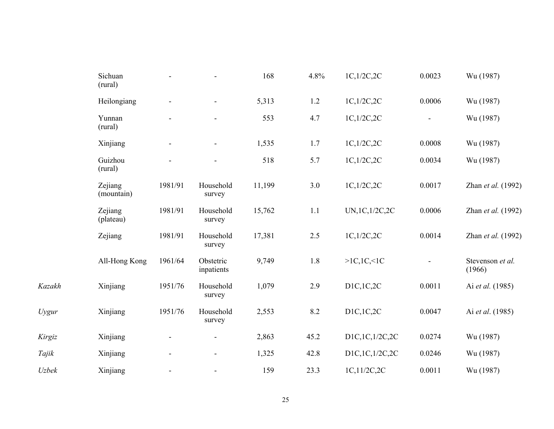|        | Sichuan<br>(rural)    |         |                         | 168    | 4.8%    | 1C,1/2C,2C     | 0.0023                       | Wu (1987)                  |
|--------|-----------------------|---------|-------------------------|--------|---------|----------------|------------------------------|----------------------------|
|        | Heilongiang           |         |                         | 5,313  | $1.2\,$ | 1C,1/2C,2C     | 0.0006                       | Wu (1987)                  |
|        | Yunnan<br>(rural)     |         |                         | 553    | 4.7     | 1C,1/2C,2C     | $\qquad \qquad \blacksquare$ | Wu (1987)                  |
|        | Xinjiang              |         |                         | 1,535  | 1.7     | 1C,1/2C,2C     | 0.0008                       | Wu (1987)                  |
|        | Guizhou<br>(rural)    |         |                         | 518    | 5.7     | 1C, 1/2C, 2C   | 0.0034                       | Wu (1987)                  |
|        | Zejiang<br>(mountain) | 1981/91 | Household<br>survey     | 11,199 | 3.0     | 1C,1/2C,2C     | 0.0017                       | Zhan et al. (1992)         |
|        | Zejiang<br>(plateau)  | 1981/91 | Household<br>survey     | 15,762 | 1.1     | UN,1C,1/2C,2C  | 0.0006                       | Zhan et al. (1992)         |
|        | Zejiang               | 1981/91 | Household<br>survey     | 17,381 | 2.5     | 1C, 1/2C, 2C   | 0.0014                       | Zhan et al. (1992)         |
|        | All-Hong Kong         | 1961/64 | Obstetric<br>inpatients | 9,749  | 1.8     | >1C, 1C, 1C    |                              | Stevenson et al.<br>(1966) |
| Kazakh | Xinjiang              | 1951/76 | Household<br>survey     | 1,079  | 2.9     | D1C,1C,2C      | 0.0011                       | Ai et al. (1985)           |
| Uygur  | Xinjiang              | 1951/76 | Household<br>survey     | 2,553  | 8.2     | D1C,1C,2C      | 0.0047                       | Ai et al. (1985)           |
| Kirgiz | Xinjiang              |         |                         | 2,863  | 45.2    | D1C,1C,1/2C,2C | 0.0274                       | Wu (1987)                  |
| Tajik  | Xinjiang              |         |                         | 1,325  | 42.8    | D1C,1C,1/2C,2C | 0.0246                       | Wu (1987)                  |
| Uzbek  | Xinjiang              |         | $\blacksquare$          | 159    | 23.3    | 1C,11/2C,2C    | 0.0011                       | Wu (1987)                  |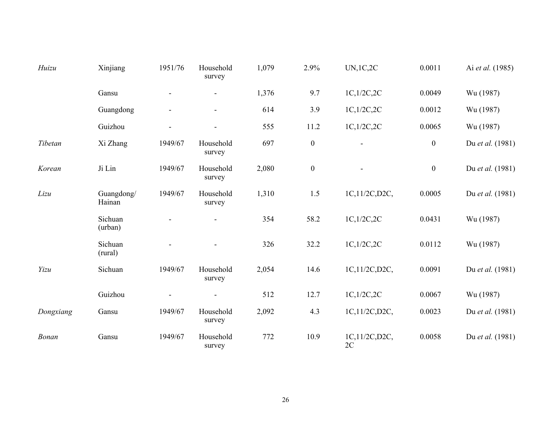| Huizu     | Xinjiang             | 1951/76 | Household<br>survey | 1,079 | 2.9%             | <b>UN,1C,2C</b>     | 0.0011         | Ai et al. (1985) |
|-----------|----------------------|---------|---------------------|-------|------------------|---------------------|----------------|------------------|
|           | Gansu                |         |                     | 1,376 | 9.7              | 1C, 1/2C, 2C        | 0.0049         | Wu (1987)        |
|           | Guangdong            |         | $\blacksquare$      | 614   | 3.9              | 1C, 1/2C, 2C        | 0.0012         | Wu (1987)        |
|           | Guizhou              |         |                     | 555   | 11.2             | 1C,1/2C,2C          | 0.0065         | Wu (1987)        |
| Tibetan   | Xi Zhang             | 1949/67 | Household<br>survey | 697   | $\boldsymbol{0}$ |                     | $\overline{0}$ | Du et al. (1981) |
| Korean    | Ji Lin               | 1949/67 | Household<br>survey | 2,080 | $\boldsymbol{0}$ |                     | $\overline{0}$ | Du et al. (1981) |
| Lizu      | Guangdong/<br>Hainan | 1949/67 | Household<br>survey | 1,310 | 1.5              | 1C,11/2C,D2C,       | 0.0005         | Du et al. (1981) |
|           | Sichuan<br>(urban)   |         |                     | 354   | 58.2             | 1C, 1/2C, 2C        | 0.0431         | Wu (1987)        |
|           | Sichuan<br>(rural)   |         |                     | 326   | 32.2             | 1C, 1/2C, 2C        | 0.0112         | Wu (1987)        |
| Yizu      | Sichuan              | 1949/67 | Household<br>survey | 2,054 | 14.6             | 1C,11/2C,D2C,       | 0.0091         | Du et al. (1981) |
|           | Guizhou              |         |                     | 512   | 12.7             | 1C, 1/2C, 2C        | 0.0067         | Wu (1987)        |
| Dongxiang | Gansu                | 1949/67 | Household<br>survey | 2,092 | 4.3              | 1C,11/2C,D2C,       | 0.0023         | Du et al. (1981) |
| Bonan     | Gansu                | 1949/67 | Household<br>survey | 772   | 10.9             | 1C,11/2C,D2C,<br>2C | 0.0058         | Du et al. (1981) |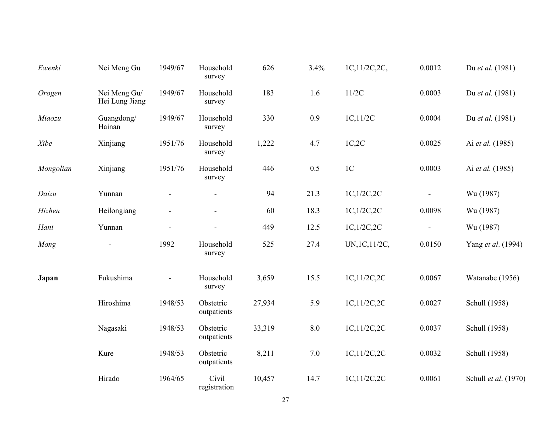| Ewenki    | Nei Meng Gu                    | 1949/67 | Household<br>survey      | 626    | 3.4%    | 1C,11/2C,2C,   | 0.0012                   | Du et al. (1981)     |
|-----------|--------------------------------|---------|--------------------------|--------|---------|----------------|--------------------------|----------------------|
| Orogen    | Nei Meng Gu/<br>Hei Lung Jiang | 1949/67 | Household<br>survey      | 183    | 1.6     | 11/2C          | 0.0003                   | Du et al. (1981)     |
| Miaozu    | Guangdong/<br>Hainan           | 1949/67 | Household<br>survey      | 330    | 0.9     | 1C,11/2C       | 0.0004                   | Du et al. (1981)     |
| Xibe      | Xinjiang                       | 1951/76 | Household<br>survey      | 1,222  | 4.7     | 1C,2C          | 0.0025                   | Ai et al. (1985)     |
| Mongolian | Xinjiang                       | 1951/76 | Household<br>survey      | 446    | 0.5     | $1\mathrm{C}$  | 0.0003                   | Ai et al. (1985)     |
| Daizu     | Yunnan                         |         |                          | 94     | 21.3    | 1C, 1/2C, 2C   |                          | Wu (1987)            |
| Hizhen    | Heilongiang                    |         |                          | 60     | 18.3    | 1C, 1/2C, 2C   | 0.0098                   | Wu (1987)            |
| Hani      | Yunnan                         |         | $\blacksquare$           | 449    | 12.5    | 1C, 1/2C, 2C   | $\overline{\phantom{a}}$ | Wu (1987)            |
| Mong      |                                | 1992    | Household<br>survey      | 525    | 27.4    | UN, 1C, 11/2C, | 0.0150                   | Yang et al. (1994)   |
| Japan     | Fukushima                      |         | Household<br>survey      | 3,659  | 15.5    | 1C,11/2C,2C    | 0.0067                   | Watanabe (1956)      |
|           | Hiroshima                      | 1948/53 | Obstetric<br>outpatients | 27,934 | 5.9     | 1C,11/2C,2C    | 0.0027                   | Schull (1958)        |
|           | Nagasaki                       | 1948/53 | Obstetric<br>outpatients | 33,319 | $8.0\,$ | 1C,11/2C,2C    | 0.0037                   | Schull (1958)        |
|           | Kure                           | 1948/53 | Obstetric<br>outpatients | 8,211  | $7.0\,$ | 1C,11/2C,2C    | 0.0032                   | Schull (1958)        |
|           | Hirado                         | 1964/65 | Civil<br>registration    | 10,457 | 14.7    | 1C,11/2C,2C    | 0.0061                   | Schull et al. (1970) |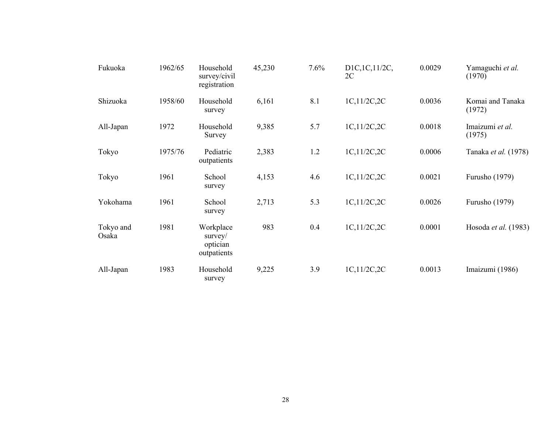| Fukuoka            | 1962/65 | Household<br>survey/civil<br>registration          | 45,230 | 7.6% | D1C, 1C, 11/2C,<br>2C | 0.0029 | Yamaguchi et al.<br>(1970) |
|--------------------|---------|----------------------------------------------------|--------|------|-----------------------|--------|----------------------------|
| Shizuoka           | 1958/60 | Household<br>survey                                | 6,161  | 8.1  | 1C,11/2C,2C           | 0.0036 | Komai and Tanaka<br>(1972) |
| All-Japan          | 1972    | Household<br>Survey                                | 9,385  | 5.7  | 1C,11/2C,2C           | 0.0018 | Imaizumi et al.<br>(1975)  |
| Tokyo              | 1975/76 | Pediatric<br>outpatients                           | 2,383  | 1.2  | 1C,11/2C,2C           | 0.0006 | Tanaka et al. (1978)       |
| Tokyo              | 1961    | School<br>survey                                   | 4,153  | 4.6  | 1C,11/2C,2C           | 0.0021 | Furusho (1979)             |
| Yokohama           | 1961    | School<br>survey                                   | 2,713  | 5.3  | 1C,11/2C,2C           | 0.0026 | Furusho (1979)             |
| Tokyo and<br>Osaka | 1981    | Workplace<br>$s$ urvey/<br>optician<br>outpatients | 983    | 0.4  | 1C,11/2C,2C           | 0.0001 | Hosoda et al. (1983)       |
| All-Japan          | 1983    | Household<br>survey                                | 9,225  | 3.9  | 1C,11/2C,2C           | 0.0013 | Imaizumi (1986)            |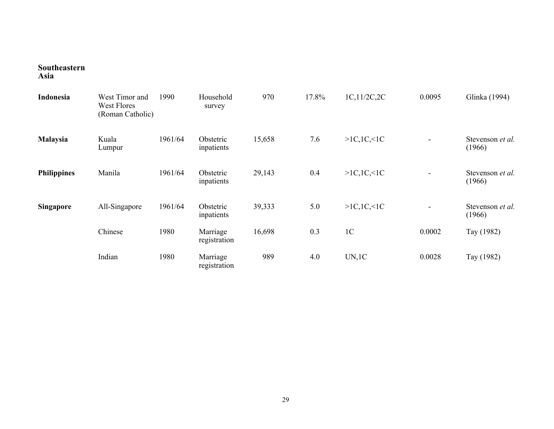#### **Southeastern Asia**

| Indonesia          | West Timor and<br><b>West Flores</b><br>(Roman Catholic) | 1990    | Household<br>survey      | 970    | 17.8% | 1C,11/2C,2C    | 0.0095 | Glinka (1994)                     |
|--------------------|----------------------------------------------------------|---------|--------------------------|--------|-------|----------------|--------|-----------------------------------|
| Malaysia           | Kuala<br>Lumpur                                          | 1961/64 | Obstetric<br>inpatients  | 15,658 | 7.6   | >1C, 1C, 1C    |        | Stevenson <i>et al.</i><br>(1966) |
| <b>Philippines</b> | Manila                                                   | 1961/64 | Obstetric<br>inpatients  | 29,143 | 0.4   | >1C, 1C, 1C    |        | Stevenson et al.<br>(1966)        |
| <b>Singapore</b>   | All-Singapore                                            | 1961/64 | Obstetric<br>inpatients  | 39,333 | 5.0   | >1C, 1C, 1C    |        | Stevenson et al.<br>(1966)        |
|                    | Chinese                                                  | 1980    | Marriage<br>registration | 16,698 | 0.3   | 1 <sup>C</sup> | 0.0002 | Tay (1982)                        |
|                    | Indian                                                   | 1980    | Marriage<br>registration | 989    | 4.0   | UN, 1C         | 0.0028 | Tay (1982)                        |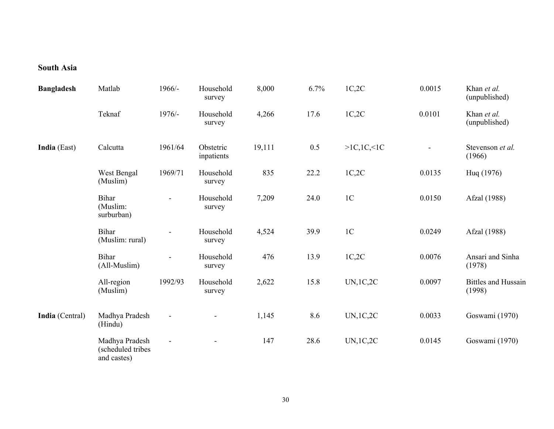## **South Asia**

| <b>Bangladesh</b>   | Matlab                                             | 1966/-                   | Household<br>survey     | 8,000  | 6.7% | 1C,2C          | 0.0015 | Khan et al.<br>(unpublished)         |
|---------------------|----------------------------------------------------|--------------------------|-------------------------|--------|------|----------------|--------|--------------------------------------|
|                     | Teknaf                                             | 1976/-                   | Household<br>survey     | 4,266  | 17.6 | 1C,2C          | 0.0101 | Khan et al.<br>(unpublished)         |
| <b>India</b> (East) | Calcutta                                           | 1961/64                  | Obstetric<br>inpatients | 19,111 | 0.5  | >1C, 1C, 1C    |        | Stevenson et al.<br>(1966)           |
|                     | West Bengal<br>(Muslim)                            | 1969/71                  | Household<br>survey     | 835    | 22.2 | 1C,2C          | 0.0135 | Hug (1976)                           |
|                     | <b>Bihar</b><br>(Muslim:<br>surburban)             | $\overline{\phantom{a}}$ | Household<br>survey     | 7,209  | 24.0 | 1 <sup>C</sup> | 0.0150 | Afzal (1988)                         |
|                     | <b>Bihar</b><br>(Muslim: rural)                    | ÷,                       | Household<br>survey     | 4,524  | 39.9 | 1 <sup>C</sup> | 0.0249 | Afzal (1988)                         |
|                     | <b>Bihar</b><br>(All-Muslim)                       | $\overline{\phantom{a}}$ | Household<br>survey     | 476    | 13.9 | 1C,2C          | 0.0076 | Ansari and Sinha<br>(1978)           |
|                     | All-region<br>(Muslim)                             | 1992/93                  | Household<br>survey     | 2,622  | 15.8 | UN, 1C, 2C     | 0.0097 | <b>Bittles and Hussain</b><br>(1998) |
| India (Central)     | Madhya Pradesh<br>(Hindu)                          |                          |                         | 1,145  | 8.6  | UN, 1C, 2C     | 0.0033 | Goswami (1970)                       |
|                     | Madhya Pradesh<br>(scheduled tribes<br>and castes) | $\blacksquare$           | $\blacksquare$          | 147    | 28.6 | UN, 1C, 2C     | 0.0145 | Goswami (1970)                       |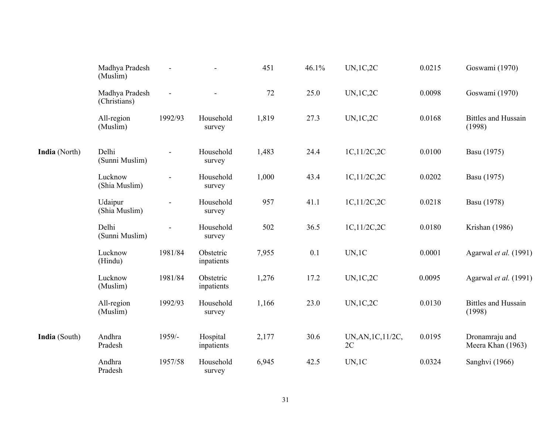|               | Madhya Pradesh<br>(Muslim)     | $\blacksquare$ |                         | 451   | 46.1% | <b>UN,1C,2C</b>          | 0.0215 | Goswami (1970)                       |
|---------------|--------------------------------|----------------|-------------------------|-------|-------|--------------------------|--------|--------------------------------------|
|               | Madhya Pradesh<br>(Christians) | $\blacksquare$ |                         | 72    | 25.0  | UN, 1C, 2C               | 0.0098 | Goswami (1970)                       |
|               | All-region<br>(Muslim)         | 1992/93        | Household<br>survey     | 1,819 | 27.3  | UN, 1C, 2C               | 0.0168 | <b>Bittles and Hussain</b><br>(1998) |
| India (North) | Delhi<br>(Sunni Muslim)        |                | Household<br>survey     | 1,483 | 24.4  | 1C,11/2C,2C              | 0.0100 | Basu (1975)                          |
|               | Lucknow<br>(Shia Muslim)       |                | Household<br>survey     | 1,000 | 43.4  | 1C,11/2C,2C              | 0.0202 | Basu (1975)                          |
|               | Udaipur<br>(Shia Muslim)       |                | Household<br>survey     | 957   | 41.1  | 1C,11/2C,2C              | 0.0218 | Basu (1978)                          |
|               | Delhi<br>(Sunni Muslim)        |                | Household<br>survey     | 502   | 36.5  | 1C,11/2C,2C              | 0.0180 | Krishan (1986)                       |
|               | Lucknow<br>(Hindu)             | 1981/84        | Obstetric<br>inpatients | 7,955 | 0.1   | UN, 1C                   | 0.0001 | Agarwal et al. (1991)                |
|               | Lucknow<br>(Muslim)            | 1981/84        | Obstetric<br>inpatients | 1,276 | 17.2  | UN, 1C, 2C               | 0.0095 | Agarwal et al. (1991)                |
|               | All-region<br>(Muslim)         | 1992/93        | Household<br>survey     | 1,166 | 23.0  | UN, 1C, 2C               | 0.0130 | <b>Bittles and Hussain</b><br>(1998) |
| India (South) | Andhra<br>Pradesh              | 1959/-         | Hospital<br>inpatients  | 2,177 | 30.6  | UN, AN, 1C, 11/2C,<br>2C | 0.0195 | Dronamraju and<br>Meera Khan (1963)  |
|               | Andhra<br>Pradesh              | 1957/58        | Household<br>survey     | 6,945 | 42.5  | UN, 1C                   | 0.0324 | Sanghvi (1966)                       |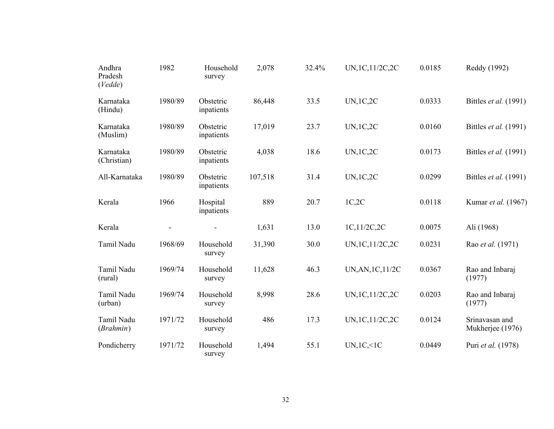| Andhra<br>Pradesh<br>(Vedde) | 1982    | Household<br>survey     | 2,078   | 32.4% | UN, 1C, 11/2C, 2C | 0.0185 | Reddy (1992)                       |
|------------------------------|---------|-------------------------|---------|-------|-------------------|--------|------------------------------------|
| Karnataka<br>(Hindu)         | 1980/89 | Obstetric<br>inpatients | 86,448  | 33.5  | UN, 1C, 2C        | 0.0333 | Bittles <i>et al.</i> (1991)       |
| Karnataka<br>(Muslim)        | 1980/89 | Obstetric<br>inpatients | 17,019  | 23.7  | UN, 1C, 2C        | 0.0160 | Bittles <i>et al.</i> (1991)       |
| Karnataka<br>(Christian)     | 1980/89 | Obstetric<br>inpatients | 4,038   | 18.6  | UN, 1C, 2C        | 0.0173 | Bittles <i>et al.</i> (1991)       |
| All-Karnataka                | 1980/89 | Obstetric<br>inpatients | 107,518 | 31.4  | UN, 1C, 2C        | 0.0299 | Bittles <i>et al.</i> (1991)       |
| Kerala                       | 1966    | Hospital<br>inpatients  | 889     | 20.7  | 1C,2C             | 0.0118 | Kumar et al. (1967)                |
| Kerala                       |         |                         | 1,631   | 13.0  | 1C,11/2C,2C       | 0.0075 | Ali (1968)                         |
| Tamil Nadu                   | 1968/69 | Household<br>survey     | 31,390  | 30.0  | UN, 1C, 11/2C, 2C | 0.0231 | Rao et al. (1971)                  |
| Tamil Nadu<br>(rural)        | 1969/74 | Household<br>survey     | 11,628  | 46.3  | UN, AN, 1C, 11/2C | 0.0367 | Rao and Inbaraj<br>(1977)          |
| Tamil Nadu<br>(urban)        | 1969/74 | Household<br>survey     | 8,998   | 28.6  | UN, 1C, 11/2C, 2C | 0.0203 | Rao and Inbaraj<br>(1977)          |
| Tamil Nadu<br>(Brahmin)      | 1971/72 | Household<br>survey     | 486     | 17.3  | UN, 1C, 11/2C, 2C | 0.0124 | Srinavasan and<br>Mukherjee (1976) |
| Pondicherry                  | 1971/72 | Household<br>survey     | 1,494   | 55.1  | UN, 1C, 1C        | 0.0449 | Puri et al. (1978)                 |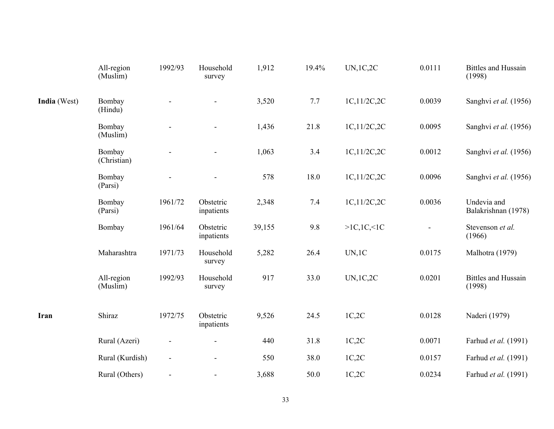|              | All-region<br>(Muslim) | 1992/93                      | Household<br>survey     | 1,912  | 19.4% | <b>UN,1C,2C</b> | 0.0111 | <b>Bittles and Hussain</b><br>(1998) |
|--------------|------------------------|------------------------------|-------------------------|--------|-------|-----------------|--------|--------------------------------------|
| India (West) | Bombay<br>(Hindu)      |                              |                         | 3,520  | 7.7   | 1C,11/2C,2C     | 0.0039 | Sanghvi et al. (1956)                |
|              | Bombay<br>(Muslim)     |                              |                         | 1,436  | 21.8  | 1C,11/2C,2C     | 0.0095 | Sanghvi et al. (1956)                |
|              | Bombay<br>(Christian)  |                              | $\blacksquare$          | 1,063  | 3.4   | 1C, 11/2C, 2C   | 0.0012 | Sanghvi et al. (1956)                |
|              | Bombay<br>(Parsi)      |                              |                         | 578    | 18.0  | 1C,11/2C,2C     | 0.0096 | Sanghvi et al. (1956)                |
|              | Bombay<br>(Parsi)      | 1961/72                      | Obstetric<br>inpatients | 2,348  | 7.4   | 1C,11/2C,2C     | 0.0036 | Undevia and<br>Balakrishnan (1978)   |
|              | Bombay                 | 1961/64                      | Obstetric<br>inpatients | 39,155 | 9.8   | >1C, 1C, 1C     |        | Stevenson et al.<br>(1966)           |
|              | Maharashtra            | 1971/73                      | Household<br>survey     | 5,282  | 26.4  | UN, 1C          | 0.0175 | Malhotra (1979)                      |
|              | All-region<br>(Muslim) | 1992/93                      | Household<br>survey     | 917    | 33.0  | <b>UN,1C,2C</b> | 0.0201 | <b>Bittles and Hussain</b><br>(1998) |
| Iran         | Shiraz                 | 1972/75                      | Obstetric<br>inpatients | 9,526  | 24.5  | 1C,2C           | 0.0128 | Naderi (1979)                        |
|              | Rural (Azeri)          |                              | $\blacksquare$          | 440    | 31.8  | 1C,2C           | 0.0071 | Farhud et al. (1991)                 |
|              | Rural (Kurdish)        | $\qquad \qquad \blacksquare$ | $\blacksquare$          | 550    | 38.0  | 1C,2C           | 0.0157 | Farhud et al. (1991)                 |
|              | Rural (Others)         | $\blacksquare$               | $\blacksquare$          | 3,688  | 50.0  | 1C,2C           | 0.0234 | Farhud et al. (1991)                 |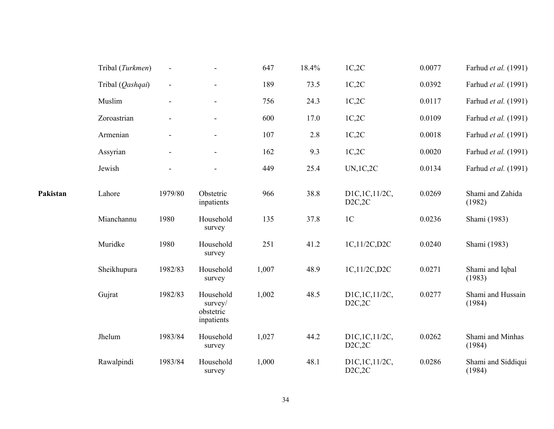|          | Tribal (Turkmen) |         |                                                 | 647   | 18.4% | 1C,2C                      | 0.0077 | Farhud et al. (1991)         |
|----------|------------------|---------|-------------------------------------------------|-------|-------|----------------------------|--------|------------------------------|
|          | Tribal (Qashqai) |         | $\blacksquare$                                  | 189   | 73.5  | 1C,2C                      | 0.0392 | Farhud et al. (1991)         |
|          | Muslim           |         | $\overline{\phantom{a}}$                        | 756   | 24.3  | 1C,2C                      | 0.0117 | Farhud et al. (1991)         |
|          | Zoroastrian      |         |                                                 | 600   | 17.0  | 1C,2C                      | 0.0109 | Farhud et al. (1991)         |
|          | Armenian         |         |                                                 | 107   | 2.8   | 1C,2C                      | 0.0018 | Farhud et al. (1991)         |
|          | Assyrian         |         | $\overline{\phantom{a}}$                        | 162   | 9.3   | 1C,2C                      | 0.0020 | Farhud et al. (1991)         |
|          | Jewish           |         |                                                 | 449   | 25.4  | UN, 1C, 2C                 | 0.0134 | Farhud et al. (1991)         |
| Pakistan | Lahore           | 1979/80 | Obstetric<br>inpatients                         | 966   | 38.8  | D1C, 1C, 11/2C,<br>D2C, 2C | 0.0269 | Shami and Zahida<br>(1982)   |
|          | Mianchannu       | 1980    | Household<br>survey                             | 135   | 37.8  | 1 <sup>C</sup>             | 0.0236 | Shami (1983)                 |
|          | Muridke          | 1980    | Household<br>survey                             | 251   | 41.2  | 1C,11/2C,D2C               | 0.0240 | Shami (1983)                 |
|          | Sheikhupura      | 1982/83 | Household<br>survey                             | 1,007 | 48.9  | 1C,11/2C,D2C               | 0.0271 | Shami and Iqbal<br>(1983)    |
|          | Gujrat           | 1982/83 | Household<br>survey/<br>obstetric<br>inpatients | 1,002 | 48.5  | D1C, 1C, 11/2C,<br>D2C, 2C | 0.0277 | Shami and Hussain<br>(1984)  |
|          | Jhelum           | 1983/84 | Household<br>survey                             | 1,027 | 44.2  | D1C, 1C, 11/2C,<br>D2C, 2C | 0.0262 | Shami and Minhas<br>(1984)   |
|          | Rawalpindi       | 1983/84 | Household<br>survey                             | 1,000 | 48.1  | D1C,1C,11/2C,<br>D2C, 2C   | 0.0286 | Shami and Siddiqui<br>(1984) |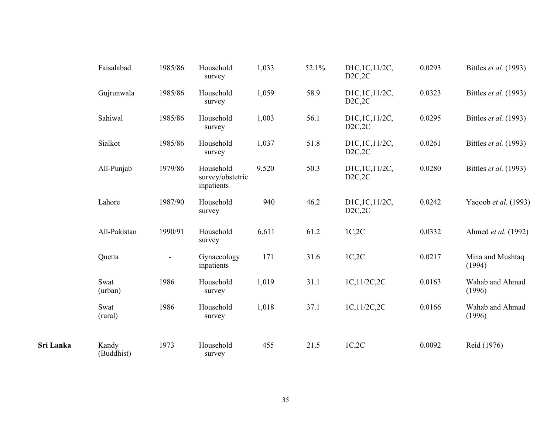|           | Faisalabad          | 1985/86 | Household<br>survey                         | 1,033 | 52.1% | D1C, 1C, 11/2C,<br>D2C, 2C | 0.0293 | Bittles et al. (1993)      |
|-----------|---------------------|---------|---------------------------------------------|-------|-------|----------------------------|--------|----------------------------|
|           | Gujrunwala          | 1985/86 | Household<br>survey                         | 1,059 | 58.9  | D1C, 1C, 11/2C,<br>D2C, 2C | 0.0323 | Bittles et al. (1993)      |
|           | Sahiwal             | 1985/86 | Household<br>survey                         | 1,003 | 56.1  | D1C, 1C, 11/2C,<br>D2C, 2C | 0.0295 | Bittles et al. (1993)      |
|           | Sialkot             | 1985/86 | Household<br>survey                         | 1,037 | 51.8  | D1C, 1C, 11/2C,<br>D2C, 2C | 0.0261 | Bittles et al. (1993)      |
|           | All-Punjab          | 1979/86 | Household<br>survey/obstetric<br>inpatients | 9,520 | 50.3  | D1C, 1C, 11/2C,<br>D2C, 2C | 0.0280 | Bittles et al. (1993)      |
|           | Lahore              | 1987/90 | Household<br>survey                         | 940   | 46.2  | D1C, 1C, 11/2C,<br>D2C, 2C | 0.0242 | Yaqoob et al. (1993)       |
|           | All-Pakistan        | 1990/91 | Household<br>survey                         | 6,611 | 61.2  | 1C,2C                      | 0.0332 | Ahmed et al. (1992)        |
|           | Quetta              |         | Gynaecology<br>inpatients                   | 171   | 31.6  | 1C,2C                      | 0.0217 | Mina and Mushtaq<br>(1994) |
|           | Swat<br>(urban)     | 1986    | Household<br>survey                         | 1,019 | 31.1  | 1C,11/2C,2C                | 0.0163 | Wahab and Ahmad<br>(1996)  |
|           | Swat<br>(rural)     | 1986    | Household<br>survey                         | 1,018 | 37.1  | 1C, 11/2C, 2C              | 0.0166 | Wahab and Ahmad<br>(1996)  |
| Sri Lanka | Kandy<br>(Buddhist) | 1973    | Household<br>survey                         | 455   | 21.5  | 1C,2C                      | 0.0092 | Reid (1976)                |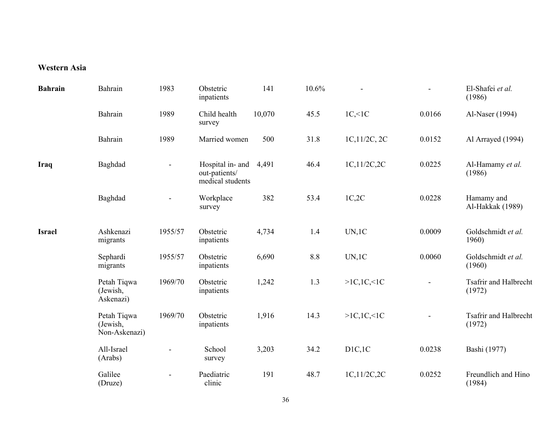### **Western Asia**

| <b>Bahrain</b> | Bahrain                                  | 1983           | Obstetric<br>inpatients                               | 141    | 10.6% |              |        | El-Shafei et al.<br>(1986)             |
|----------------|------------------------------------------|----------------|-------------------------------------------------------|--------|-------|--------------|--------|----------------------------------------|
|                | Bahrain                                  | 1989           | Child health<br>survey                                | 10,070 | 45.5  | $1C,\leq 1C$ | 0.0166 | Al-Naser (1994)                        |
|                | Bahrain                                  | 1989           | Married women                                         | 500    | 31.8  | 1C,11/2C, 2C | 0.0152 | Al Arrayed (1994)                      |
| Iraq           | Baghdad                                  | $\blacksquare$ | Hospital in- and<br>out-patients/<br>medical students | 4,491  | 46.4  | 1C,11/2C,2C  | 0.0225 | Al-Hamamy et al.<br>(1986)             |
|                | Baghdad                                  |                | Workplace<br>survey                                   | 382    | 53.4  | 1C,2C        | 0.0228 | Hamamy and<br>Al-Hakkak (1989)         |
| <b>Israel</b>  | Ashkenazi<br>migrants                    | 1955/57        | Obstetric<br>inpatients                               | 4,734  | 1.4   | UN, 1C       | 0.0009 | Goldschmidt et al.<br>1960)            |
|                | Sephardi<br>migrants                     | 1955/57        | Obstetric<br>inpatients                               | 6,690  | 8.8   | UN, 1C       | 0.0060 | Goldschmidt et al.<br>(1960)           |
|                | Petah Tiqwa<br>(Jewish,<br>Askenazi)     | 1969/70        | Obstetric<br>inpatients                               | 1,242  | 1.3   | >1C, 1C, 1C  |        | <b>Tsafrir and Halbrecht</b><br>(1972) |
|                | Petah Tiqwa<br>(Jewish,<br>Non-Askenazi) | 1969/70        | Obstetric<br>inpatients                               | 1,916  | 14.3  | >1C, 1C, 1C  |        | <b>Tsafrir and Halbrecht</b><br>(1972) |
|                | All-Israel<br>(Arabs)                    |                | School<br>survey                                      | 3,203  | 34.2  | D1C, 1C      | 0.0238 | Bashi (1977)                           |
|                | Galilee<br>(Druze)                       |                | Paediatric<br>clinic                                  | 191    | 48.7  | 1C,11/2C,2C  | 0.0252 | Freundlich and Hino<br>(1984)          |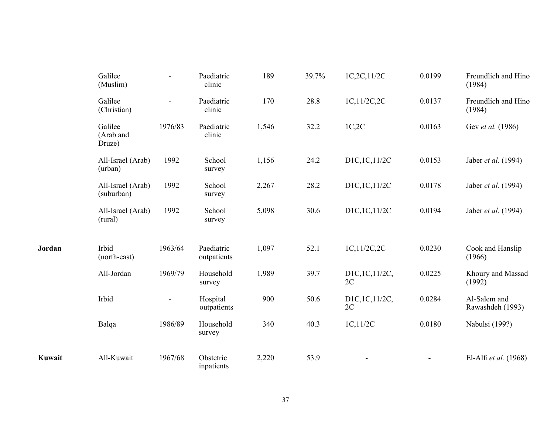|        | Galilee<br>(Muslim)             |                          | Paediatric<br>clinic      | 189   | 39.7% | 1C,2C,11/2C         | 0.0199 | Freundlich and Hino<br>(1984)    |
|--------|---------------------------------|--------------------------|---------------------------|-------|-------|---------------------|--------|----------------------------------|
|        | Galilee<br>(Christian)          | $\overline{\phantom{0}}$ | Paediatric<br>clinic      | 170   | 28.8  | 1C,11/2C,2C         | 0.0137 | Freundlich and Hino<br>(1984)    |
|        | Galilee<br>(Arab and<br>Druze)  | 1976/83                  | Paediatric<br>clinic      | 1,546 | 32.2  | 1C,2C               | 0.0163 | Gev et al. (1986)                |
|        | All-Israel (Arab)<br>(urban)    | 1992                     | School<br>survey          | 1,156 | 24.2  | D1C,1C,11/2C        | 0.0153 | Jaber et al. (1994)              |
|        | All-Israel (Arab)<br>(suburban) | 1992                     | School<br>survey          | 2,267 | 28.2  | D1C,1C,11/2C        | 0.0178 | Jaber et al. (1994)              |
|        | All-Israel (Arab)<br>(rural)    | 1992                     | School<br>survey          | 5,098 | 30.6  | D1C,1C,11/2C        | 0.0194 | Jaber et al. (1994)              |
| Jordan | Irbid<br>(north-east)           | 1963/64                  | Paediatric<br>outpatients | 1,097 | 52.1  | 1C,11/2C,2C         | 0.0230 | Cook and Hanslip<br>(1966)       |
|        | All-Jordan                      | 1969/79                  | Household<br>survey       | 1,989 | 39.7  | D1C,1C,11/2C,<br>2C | 0.0225 | Khoury and Massad<br>(1992)      |
|        | Irbid                           | $\blacksquare$           | Hospital<br>outpatients   | 900   | 50.6  | D1C,1C,11/2C,<br>2C | 0.0284 | Al-Salem and<br>Rawashdeh (1993) |
|        | Balqa                           | 1986/89                  | Household<br>survey       | 340   | 40.3  | 1C, 11/2C           | 0.0180 | Nabulsi (199?)                   |
| Kuwait | All-Kuwait                      | 1967/68                  | Obstetric<br>inpatients   | 2,220 | 53.9  |                     |        | El-Alfi et al. (1968)            |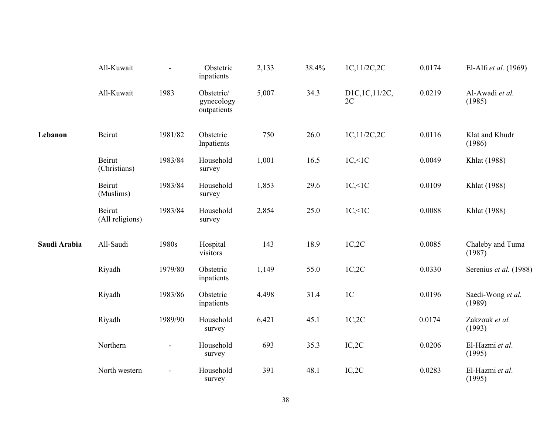|              | All-Kuwait                |                | Obstetric<br>inpatients                 | 2,133 | 38.4% | 1C,11/2C,2C           | 0.0174 | El-Alfi et al. (1969)       |
|--------------|---------------------------|----------------|-----------------------------------------|-------|-------|-----------------------|--------|-----------------------------|
|              | All-Kuwait                | 1983           | Obstetric/<br>gynecology<br>outpatients | 5,007 | 34.3  | D1C, 1C, 11/2C,<br>2C | 0.0219 | Al-Awadi et al.<br>(1985)   |
| Lebanon      | Beirut                    | 1981/82        | Obstetric<br>Inpatients                 | 750   | 26.0  | 1C,11/2C,2C           | 0.0116 | Klat and Khudr<br>(1986)    |
|              | Beirut<br>(Christians)    | 1983/84        | Household<br>survey                     | 1,001 | 16.5  | $1C,\leq 1C$          | 0.0049 | Khlat (1988)                |
|              | Beirut<br>(Muslims)       | 1983/84        | Household<br>survey                     | 1,853 | 29.6  | $1C,\leq 1C$          | 0.0109 | Khlat (1988)                |
|              | Beirut<br>(All religions) | 1983/84        | Household<br>survey                     | 2,854 | 25.0  | $1C,\leq 1C$          | 0.0088 | Khlat (1988)                |
| Saudi Arabia | All-Saudi                 | 1980s          | Hospital<br>visitors                    | 143   | 18.9  | 1C,2C                 | 0.0085 | Chaleby and Tuma<br>(1987)  |
|              | Riyadh                    | 1979/80        | Obstetric<br>inpatients                 | 1,149 | 55.0  | 1C,2C                 | 0.0330 | Serenius et al. (1988)      |
|              | Riyadh                    | 1983/86        | Obstetric<br>inpatients                 | 4,498 | 31.4  | 1 <sup>C</sup>        | 0.0196 | Saedi-Wong et al.<br>(1989) |
|              | Riyadh                    | 1989/90        | Household<br>survey                     | 6,421 | 45.1  | 1C,2C                 | 0.0174 | Zakzouk et al.<br>(1993)    |
|              | Northern                  | $\blacksquare$ | Household<br>survey                     | 693   | 35.3  | IC, 2C                | 0.0206 | El-Hazmi et al.<br>(1995)   |
|              | North western             |                | Household<br>survey                     | 391   | 48.1  | IC, 2C                | 0.0283 | El-Hazmi et al.<br>(1995)   |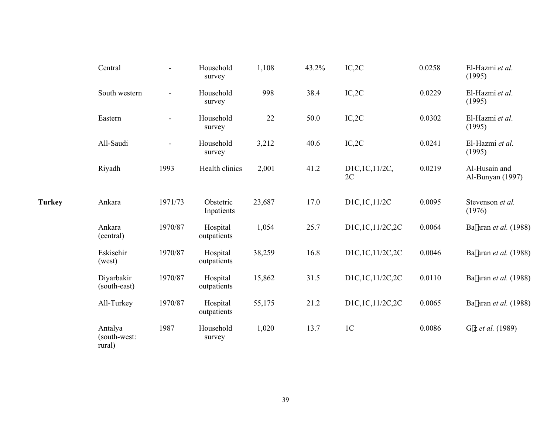|               | Central                           | ÷       | Household<br>survey     | 1,108  | 43.2% | IC, 2C              | 0.0258 | El-Hazmi et al.<br>(1995)         |
|---------------|-----------------------------------|---------|-------------------------|--------|-------|---------------------|--------|-----------------------------------|
|               | South western                     |         | Household<br>survey     | 998    | 38.4  | IC, 2C              | 0.0229 | El-Hazmi et al.<br>(1995)         |
|               | Eastern                           |         | Household<br>survey     | 22     | 50.0  | IC, 2C              | 0.0302 | El-Hazmi et al.<br>(1995)         |
|               | All-Saudi                         |         | Household<br>survey     | 3,212  | 40.6  | IC, 2C              | 0.0241 | El-Hazmi et al.<br>(1995)         |
|               | Riyadh                            | 1993    | Health clinics          | 2,001  | 41.2  | D1C,1C,11/2C,<br>2C | 0.0219 | Al-Husain and<br>Al-Bunyan (1997) |
| <b>Turkey</b> | Ankara                            | 1971/73 | Obstetric<br>Inpatients | 23,687 | 17.0  | D1C,1C,11/2C        | 0.0095 | Stevenson et al.<br>(1976)        |
|               | Ankara<br>(central)               | 1970/87 | Hospital<br>outpatients | 1,054  | 25.7  | D1C,1C,11/2C,2C     | 0.0064 | Ba  aran et al. (1988)            |
|               | Eskisehir<br>(west)               | 1970/87 | Hospital<br>outpatients | 38,259 | 16.8  | D1C,1C,11/2C,2C     | 0.0046 | Ba  aran et al. (1988)            |
|               | Diyarbakir<br>(south-east)        | 1970/87 | Hospital<br>outpatients | 15,862 | 31.5  | D1C,1C,11/2C,2C     | 0.0110 | Ba aran et al. (1988)             |
|               | All-Turkey                        | 1970/87 | Hospital<br>outpatients | 55,175 | 21.2  | D1C,1C,11/2C,2C     | 0.0065 | Ba  aran et al. (1988)            |
|               | Antalya<br>(south-west:<br>rural) | 1987    | Household<br>survey     | 1,020  | 13.7  | 1 <sup>C</sup>      | 0.0086 | Gfz et al. (1989)                 |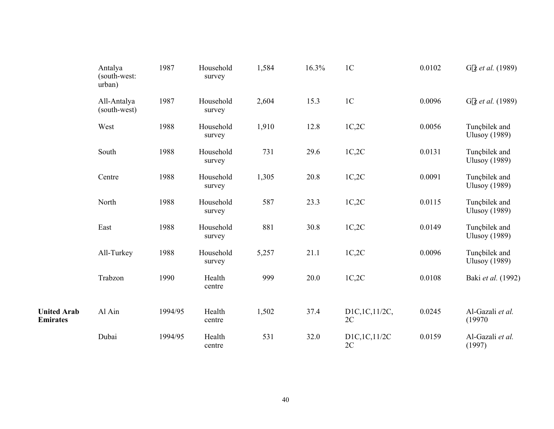|                                       | Antalya<br>(south-west:<br>urban) | 1987    | Household<br>survey | 1,584 | 16.3% | 1 <sub>C</sub>      | 0.0102 | Gfz et al. (1989)                     |
|---------------------------------------|-----------------------------------|---------|---------------------|-------|-------|---------------------|--------|---------------------------------------|
|                                       | All-Antalya<br>(south-west)       | 1987    | Household<br>survey | 2,604 | 15.3  | $1C$                | 0.0096 | Gfz et al. (1989)                     |
|                                       | West                              | 1988    | Household<br>survey | 1,910 | 12.8  | 1C,2C               | 0.0056 | Tunçbilek and<br><b>Ulusoy</b> (1989) |
|                                       | South                             | 1988    | Household<br>survey | 731   | 29.6  | 1C,2C               | 0.0131 | Tunçbilek and<br><b>Ulusoy</b> (1989) |
|                                       | Centre                            | 1988    | Household<br>survey | 1,305 | 20.8  | 1C,2C               | 0.0091 | Tunçbilek and<br><b>Ulusoy</b> (1989) |
|                                       | North                             | 1988    | Household<br>survey | 587   | 23.3  | 1C,2C               | 0.0115 | Tunçbilek and<br><b>Ulusoy</b> (1989) |
|                                       | East                              | 1988    | Household<br>survey | 881   | 30.8  | 1C,2C               | 0.0149 | Tunçbilek and<br><b>Ulusoy</b> (1989) |
|                                       | All-Turkey                        | 1988    | Household<br>survey | 5,257 | 21.1  | 1C,2C               | 0.0096 | Tunçbilek and<br><b>Ulusoy</b> (1989) |
|                                       | Trabzon                           | 1990    | Health<br>centre    | 999   | 20.0  | 1C,2C               | 0.0108 | Baki et al. (1992)                    |
| <b>United Arab</b><br><b>Emirates</b> | Al Ain                            | 1994/95 | Health<br>centre    | 1,502 | 37.4  | D1C,1C,11/2C,<br>2C | 0.0245 | Al-Gazali et al.<br>(19970            |
|                                       | Dubai                             | 1994/95 | Health<br>centre    | 531   | 32.0  | D1C,1C,11/2C<br>2C  | 0.0159 | Al-Gazali et al.<br>(1997)            |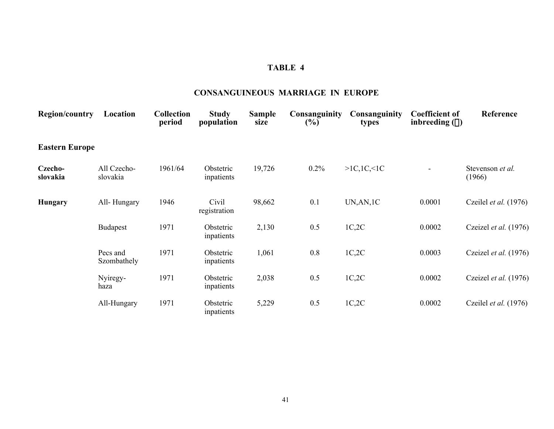#### **CONSANGUINEOUS MARRIAGE IN EUROPE**

| <b>Region/country</b> | Location                | <b>Collection</b><br>period | <b>Study</b><br>population | <b>Sample</b><br>size | <b>Consanguinity</b><br>$(\%)$ | Consanguinity<br>types | <b>Coefficient of</b><br>inbreeding $(\alpha)$ | Reference                    |
|-----------------------|-------------------------|-----------------------------|----------------------------|-----------------------|--------------------------------|------------------------|------------------------------------------------|------------------------------|
| <b>Eastern Europe</b> |                         |                             |                            |                       |                                |                        |                                                |                              |
| Czecho-<br>slovakia   | All Czecho-<br>slovakia | 1961/64                     | Obstetric<br>inpatients    | 19,726                | $0.2\%$                        | >1C, 1C, 1C            | $\blacksquare$                                 | Stevenson et al.<br>(1966)   |
| Hungary               | All-Hungary             | 1946                        | Civil<br>registration      | 98,662                | 0.1                            | UN, AN, 1C             | 0.0001                                         | Czeilel <i>et al.</i> (1976) |
|                       | <b>Budapest</b>         | 1971                        | Obstetric<br>inpatients    | 2,130                 | 0.5                            | 1C,2C                  | 0.0002                                         | Czeizel et al. (1976)        |
|                       | Pecs and<br>Szombathely | 1971                        | Obstetric<br>inpatients    | 1,061                 | 0.8                            | 1C,2C                  | 0.0003                                         | Czeizel et al. (1976)        |
|                       | Nyiregy-<br>haza        | 1971                        | Obstetric<br>inpatients    | 2,038                 | 0.5                            | 1C,2C                  | 0.0002                                         | Czeizel et al. (1976)        |
|                       | All-Hungary             | 1971                        | Obstetric<br>inpatients    | 5,229                 | 0.5                            | 1C,2C                  | 0.0002                                         | Czeilel <i>et al.</i> (1976) |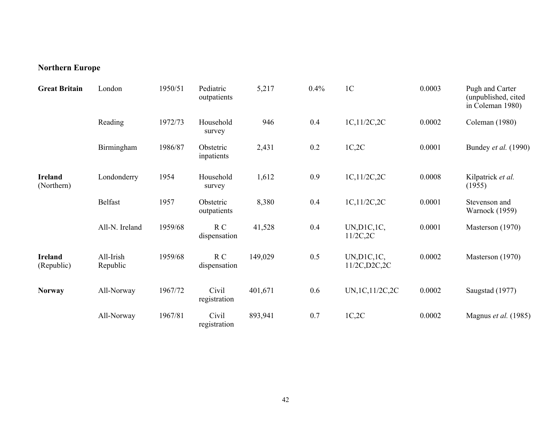## **Northern Europe**

| <b>Great Britain</b>         | London                | 1950/51 | Pediatric<br>outpatients | 5,217   | 0.4% | 1 <sup>C</sup>                 | 0.0003 | Pugh and Carter<br>(unpublished, cited<br>in Coleman 1980) |
|------------------------------|-----------------------|---------|--------------------------|---------|------|--------------------------------|--------|------------------------------------------------------------|
|                              | Reading               | 1972/73 | Household<br>survey      | 946     | 0.4  | 1C,11/2C,2C                    | 0.0002 | Coleman (1980)                                             |
|                              | Birmingham            | 1986/87 | Obstetric<br>inpatients  | 2,431   | 0.2  | 1C,2C                          | 0.0001 | Bundey et al. (1990)                                       |
| <b>Ireland</b><br>(Northern) | Londonderry           | 1954    | Household<br>survey      | 1,612   | 0.9  | 1C,11/2C,2C                    | 0.0008 | Kilpatrick et al.<br>(1955)                                |
|                              | Belfast               | 1957    | Obstetric<br>outpatients | 8,380   | 0.4  | 1C,11/2C,2C                    | 0.0001 | Stevenson and<br><b>Warnock</b> (1959)                     |
|                              | All-N. Ireland        | 1959/68 | R C<br>dispensation      | 41,528  | 0.4  | UN, D1C, 1C,<br>$11/2C$ , $2C$ | 0.0001 | Masterson (1970)                                           |
| <b>Ireland</b><br>(Republic) | All-Irish<br>Republic | 1959/68 | R C<br>dispensation      | 149,029 | 0.5  | UN, D1C, 1C,<br>11/2C, D2C, 2C | 0.0002 | Masterson (1970)                                           |
| <b>Norway</b>                | All-Norway            | 1967/72 | Civil<br>registration    | 401,671 | 0.6  | UN, 1C, 11/2C, 2C              | 0.0002 | Saugstad (1977)                                            |
|                              | All-Norway            | 1967/81 | Civil<br>registration    | 893,941 | 0.7  | 1C,2C                          | 0.0002 | Magnus et al. (1985)                                       |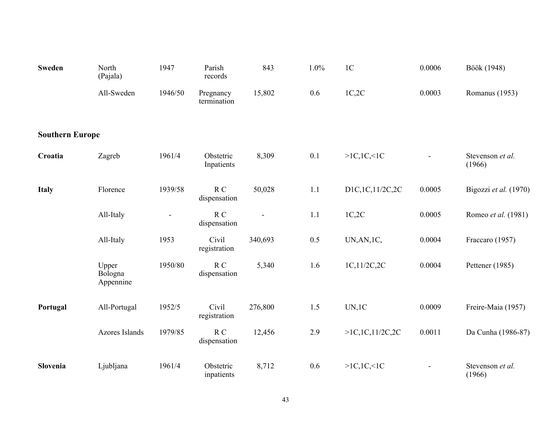| <b>Sweden</b>          | North<br>(Pajala)             | 1947    | Parish<br>records        | 843     | 1.0% | 1 <sub>C</sub>     | 0.0006                   | Böök (1948)                |
|------------------------|-------------------------------|---------|--------------------------|---------|------|--------------------|--------------------------|----------------------------|
|                        | All-Sweden                    | 1946/50 | Pregnancy<br>termination | 15,802  | 0.6  | 1C,2C              | 0.0003                   | Romanus (1953)             |
| <b>Southern Europe</b> |                               |         |                          |         |      |                    |                          |                            |
| Croatia                | Zagreb                        | 1961/4  | Obstetric<br>Inpatients  | 8,309   | 0.1  | >1C, 1C, 1C        | $\overline{\phantom{a}}$ | Stevenson et al.<br>(1966) |
| <b>Italy</b>           | Florence                      | 1939/58 | R C<br>dispensation      | 50,028  | 1.1  | D1C,1C,11/2C,2C    | 0.0005                   | Bigozzi et al. (1970)      |
|                        | All-Italy                     |         | R C<br>dispensation      |         | 1.1  | 1C,2C              | 0.0005                   | Romeo et al. (1981)        |
|                        | All-Italy                     | 1953    | Civil<br>registration    | 340,693 | 0.5  | UN, AN, 1C,        | 0.0004                   | Fraccaro (1957)            |
|                        | Upper<br>Bologna<br>Appennine | 1950/80 | R C<br>dispensation      | 5,340   | 1.6  | 1C,11/2C,2C        | 0.0004                   | Pettener (1985)            |
| Portugal               | All-Portugal                  | 1952/5  | Civil<br>registration    | 276,800 | 1.5  | UN, 1C             | 0.0009                   | Freire-Maia (1957)         |
|                        | Azores Islands                | 1979/85 | R C<br>dispensation      | 12,456  | 2.9  | >1C, 1C, 11/2C, 2C | 0.0011                   | Da Cunha (1986-87)         |
| Slovenia               | Ljubljana                     | 1961/4  | Obstetric<br>inpatients  | 8,712   | 0.6  | >1C, 1C, 1C        | $\blacksquare$           | Stevenson et al.<br>(1966) |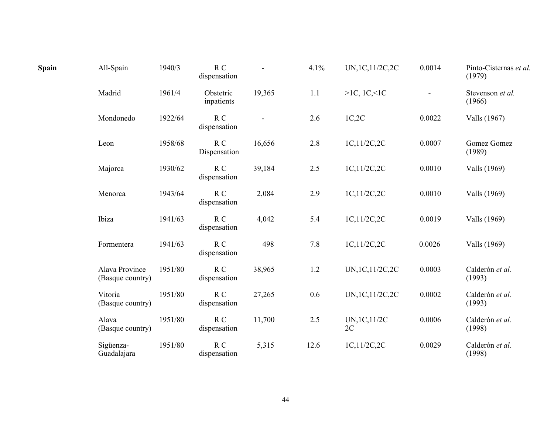| Spain | All-Spain                          | 1940/3  | R C<br>dispensation            |        | 4.1%    | UN, 1C, 11/2C, 2C   | 0.0014                   | Pinto-Cisternas et al.<br>(1979) |
|-------|------------------------------------|---------|--------------------------------|--------|---------|---------------------|--------------------------|----------------------------------|
|       | Madrid                             | 1961/4  | Obstetric<br>inpatients        | 19,365 | 1.1     | >1C, 1C, 1C         | $\overline{\phantom{0}}$ | Stevenson et al.<br>(1966)       |
|       | Mondonedo                          | 1922/64 | $R_{C}$<br>dispensation        |        | 2.6     | 1C,2C               | 0.0022                   | Valls (1967)                     |
|       | Leon                               | 1958/68 | R C<br>Dispensation            | 16,656 | 2.8     | 1C,11/2C,2C         | 0.0007                   | Gomez Gomez<br>(1989)            |
|       | Majorca                            | 1930/62 | R C<br>dispensation            | 39,184 | 2.5     | 1C,11/2C,2C         | 0.0010                   | Valls (1969)                     |
|       | Menorca                            | 1943/64 | R <sub>C</sub><br>dispensation | 2,084  | 2.9     | 1C,11/2C,2C         | 0.0010                   | Valls (1969)                     |
|       | Ibiza                              | 1941/63 | R C<br>dispensation            | 4,042  | 5.4     | 1C,11/2C,2C         | 0.0019                   | Valls (1969)                     |
|       | Formentera                         | 1941/63 | R C<br>dispensation            | 498    | 7.8     | 1C,11/2C,2C         | 0.0026                   | Valls (1969)                     |
|       | Alava Province<br>(Basque country) | 1951/80 | R <sub>C</sub><br>dispensation | 38,965 | 1.2     | UN, 1C, 11/2C, 2C   | 0.0003                   | Calderón et al.<br>(1993)        |
|       | Vitoria<br>(Basque country)        | 1951/80 | R C<br>dispensation            | 27,265 | 0.6     | UN, 1C, 11/2C, 2C   | 0.0002                   | Calderón et al.<br>(1993)        |
|       | Alava<br>(Basque country)          | 1951/80 | R C<br>dispensation            | 11,700 | $2.5\,$ | UN, 1C, 11/2C<br>2C | 0.0006                   | Calderón et al.<br>(1998)        |
|       | Sigüenza-<br>Guadalajara           | 1951/80 | R C<br>dispensation            | 5,315  | 12.6    | 1C,11/2C,2C         | 0.0029                   | Calderón et al.<br>(1998)        |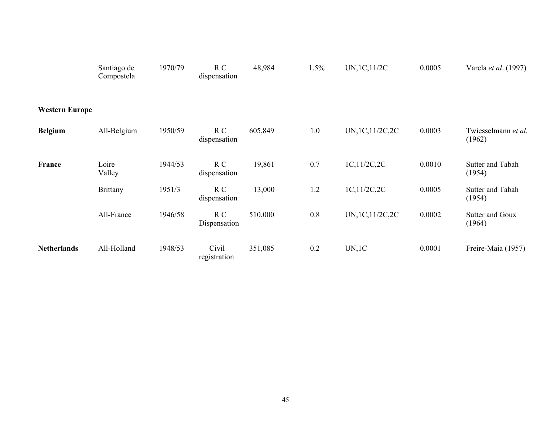|                       | Santiago de<br>Compostela | 1970/79 | R C<br>dispensation   | 48,984  | 1.5% | UN, 1C, 11/2C     | 0.0005 | Varela et al. (1997)          |
|-----------------------|---------------------------|---------|-----------------------|---------|------|-------------------|--------|-------------------------------|
| <b>Western Europe</b> |                           |         |                       |         |      |                   |        |                               |
| <b>Belgium</b>        | All-Belgium               | 1950/59 | R C<br>dispensation   | 605,849 | 1.0  | UN, 1C, 11/2C, 2C | 0.0003 | Twiesselmann et al.<br>(1962) |
| France                | Loire<br>Valley           | 1944/53 | R C<br>dispensation   | 19,861  | 0.7  | 1C,11/2C,2C       | 0.0010 | Sutter and Tabah<br>(1954)    |
|                       | <b>Brittany</b>           | 1951/3  | R C<br>dispensation   | 13,000  | 1.2  | 1C,11/2C,2C       | 0.0005 | Sutter and Tabah<br>(1954)    |
|                       | All-France                | 1946/58 | R C<br>Dispensation   | 510,000 | 0.8  | UN, 1C, 11/2C, 2C | 0.0002 | Sutter and Goux<br>(1964)     |
| <b>Netherlands</b>    | All-Holland               | 1948/53 | Civil<br>registration | 351,085 | 0.2  | UN, 1C            | 0.0001 | Freire-Maia (1957)            |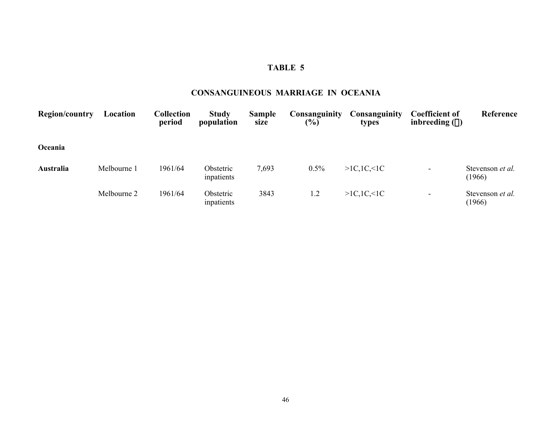### **CONSANGUINEOUS MARRIAGE IN OCEANIA**

| <b>Region/country</b> | Location    | <b>Collection</b><br>period | <b>Study</b><br>population | <b>Sample</b><br>size | <b>Consanguinity</b><br>$(\%)$ | <b>Consanguinity</b><br>types | <b>Coefficient of</b><br>inbreeding $(\alpha)$ | Reference                  |
|-----------------------|-------------|-----------------------------|----------------------------|-----------------------|--------------------------------|-------------------------------|------------------------------------------------|----------------------------|
| Oceania               |             |                             |                            |                       |                                |                               |                                                |                            |
| Australia             | Melbourne 1 | 1961/64                     | Obstetric<br>inpatients    | 7,693                 | 0.5%                           | >1C, 1C, 1C                   |                                                | Stevenson et al.<br>(1966) |
|                       | Melbourne 2 | 1961/64                     | Obstetric<br>inpatients    | 3843                  | 1.2                            | >1C, 1C, 1C                   | $\overline{\phantom{0}}$                       | Stevenson et al.<br>(1966) |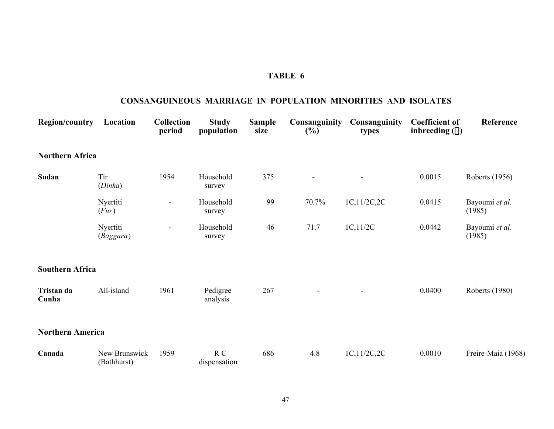### **CONSANGUINEOUS MARRIAGE IN POPULATION MINORITIES AND ISOLATES**

| <b>Region/country</b>   | Location                     | <b>Collection</b><br>period | <b>Study</b><br>population | <b>Sample</b><br>size | Consanguinity<br>$(\%)$ | Consanguinity<br>types | <b>Coefficient of</b><br>inbreeding $(\alpha)$ | Reference                |
|-------------------------|------------------------------|-----------------------------|----------------------------|-----------------------|-------------------------|------------------------|------------------------------------------------|--------------------------|
| <b>Northern Africa</b>  |                              |                             |                            |                       |                         |                        |                                                |                          |
| Sudan                   | Tir<br>(Dinka)               | 1954                        | Household<br>survey        | 375                   | $\overline{a}$          |                        | 0.0015                                         | Roberts (1956)           |
|                         | Nyertiti<br>(Fur)            | $\overline{\phantom{a}}$    | Household<br>survey        | 99                    | 70.7%                   | 1C,11/2C,2C            | 0.0415                                         | Bayoumi et al.<br>(1985) |
|                         | Nyertiti<br>(Baggara)        | $\blacksquare$              | Household<br>survey        | 46                    | 71.7                    | 1C, 11/2C              | 0.0442                                         | Bayoumi et al.<br>(1985) |
| <b>Southern Africa</b>  |                              |                             |                            |                       |                         |                        |                                                |                          |
| Tristan da<br>Cunha     | All-island                   | 1961                        | Pedigree<br>analysis       | 267                   |                         |                        | 0.0400                                         | <b>Roberts</b> (1980)    |
| <b>Northern America</b> |                              |                             |                            |                       |                         |                        |                                                |                          |
| Canada                  | New Brunswick<br>(Bathhurst) | 1959                        | R C<br>dispensation        | 686                   | 4.8                     | 1C,11/2C,2C            | 0.0010                                         | Freire-Maia (1968)       |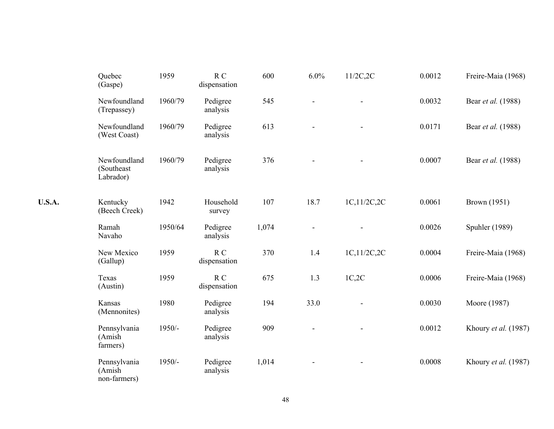|               | Quebec<br>(Gaspe)                       | 1959     | R <sub>C</sub><br>dispensation | 600   | 6.0% | $11/2C$ , $2C$ | 0.0012 | Freire-Maia (1968)   |
|---------------|-----------------------------------------|----------|--------------------------------|-------|------|----------------|--------|----------------------|
|               | Newfoundland<br>(Trepassey)             | 1960/79  | Pedigree<br>analysis           | 545   |      |                | 0.0032 | Bear et al. (1988)   |
|               | Newfoundland<br>(West Coast)            | 1960/79  | Pedigree<br>analysis           | 613   |      |                | 0.0171 | Bear et al. (1988)   |
|               | Newfoundland<br>(Southeast<br>Labrador) | 1960/79  | Pedigree<br>analysis           | 376   |      |                | 0.0007 | Bear et al. (1988)   |
| <b>U.S.A.</b> | Kentucky<br>(Beech Creek)               | 1942     | Household<br>survey            | 107   | 18.7 | 1C,11/2C,2C    | 0.0061 | Brown (1951)         |
|               | Ramah<br>Navaho                         | 1950/64  | Pedigree<br>analysis           | 1,074 |      |                | 0.0026 | Spuhler (1989)       |
|               | New Mexico<br>(Gallup)                  | 1959     | R C<br>dispensation            | 370   | 1.4  | 1C,11/2C,2C    | 0.0004 | Freire-Maia (1968)   |
|               | Texas<br>(Austin)                       | 1959     | R <sub>C</sub><br>dispensation | 675   | 1.3  | 1C,2C          | 0.0006 | Freire-Maia (1968)   |
|               | Kansas<br>(Mennonites)                  | 1980     | Pedigree<br>analysis           | 194   | 33.0 |                | 0.0030 | Moore (1987)         |
|               | Pennsylvania<br>(Amish<br>farmers)      | $1950/-$ | Pedigree<br>analysis           | 909   |      |                | 0.0012 | Khoury et al. (1987) |
|               | Pennsylvania<br>(Amish<br>non-farmers)  | 1950/-   | Pedigree<br>analysis           | 1,014 |      |                | 0.0008 | Khoury et al. (1987) |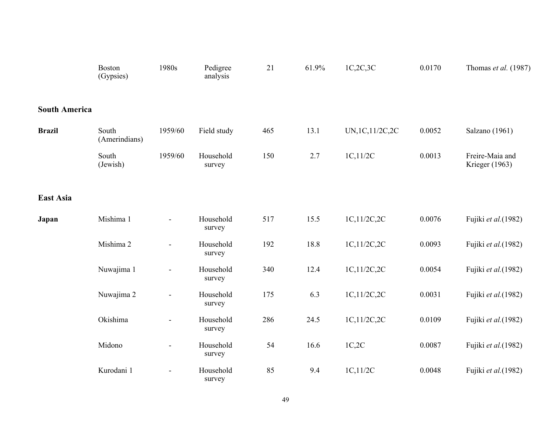|                      | <b>Boston</b><br>(Gypsies) | 1980s          | Pedigree<br>analysis | 21  | 61.9% | 1C,2C,3C          | 0.0170 | Thomas et al. (1987)              |
|----------------------|----------------------------|----------------|----------------------|-----|-------|-------------------|--------|-----------------------------------|
| <b>South America</b> |                            |                |                      |     |       |                   |        |                                   |
| <b>Brazil</b>        | South<br>(Amerindians)     | 1959/60        | Field study          | 465 | 13.1  | UN, 1C, 11/2C, 2C | 0.0052 | Salzano (1961)                    |
|                      | South<br>(Jewish)          | 1959/60        | Household<br>survey  | 150 | 2.7   | 1C, 11/2C         | 0.0013 | Freire-Maia and<br>Krieger (1963) |
| East Asia            |                            |                |                      |     |       |                   |        |                                   |
| Japan                | Mishima 1                  | $\blacksquare$ | Household<br>survey  | 517 | 15.5  | 1C,11/2C,2C       | 0.0076 | Fujiki et al.(1982)               |
|                      | Mishima 2                  | ÷,             | Household<br>survey  | 192 | 18.8  | 1C,11/2C,2C       | 0.0093 | Fujiki et al.(1982)               |
|                      | Nuwajima 1                 | $\blacksquare$ | Household<br>survey  | 340 | 12.4  | 1C,11/2C,2C       | 0.0054 | Fujiki et al.(1982)               |
|                      | Nuwajima 2                 | ÷,             | Household<br>survey  | 175 | 6.3   | 1C,11/2C,2C       | 0.0031 | Fujiki et al.(1982)               |
|                      | Okishima                   |                | Household<br>survey  | 286 | 24.5  | 1C,11/2C,2C       | 0.0109 | Fujiki et al.(1982)               |
|                      | Midono                     | $\blacksquare$ | Household<br>survey  | 54  | 16.6  | 1C,2C             | 0.0087 | Fujiki et al.(1982)               |
|                      | Kurodani 1                 |                | Household<br>survey  | 85  | 9.4   | 1C, 11/2C         | 0.0048 | Fujiki et al.(1982)               |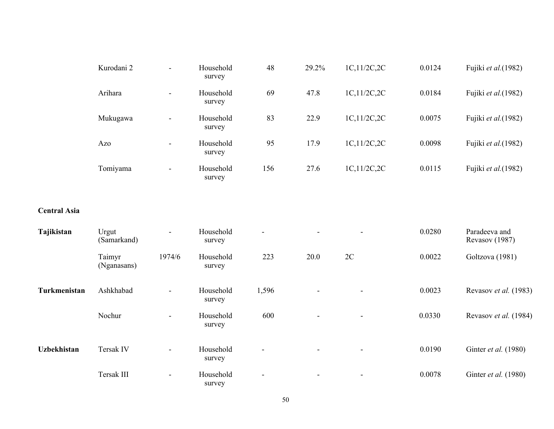| Kurodani 2 | $\blacksquare$           | Household<br>survey | 48  | 29.2% | 1C,11/2C,2C | 0.0124 | Fujiki <i>et al.</i> (1982) |
|------------|--------------------------|---------------------|-----|-------|-------------|--------|-----------------------------|
| Arihara    | ۰                        | Household<br>survey | 69  | 47.8  | 1C,11/2C,2C | 0.0184 | Fujiki <i>et al.</i> (1982) |
| Mukugawa   |                          | Household<br>survey | 83  | 22.9  | 1C,11/2C,2C | 0.0075 | Fujiki <i>et al.</i> (1982) |
| Azo        | ۰                        | Household<br>survey | 95  | 17.9  | 1C,11/2C,2C | 0.0098 | Fujiki et al.(1982)         |
| Tomiyama   | $\overline{\phantom{0}}$ | Household<br>survey | 156 | 27.6  | 1C,11/2C,2C | 0.0115 | Fujiki et al.(1982)         |

#### **Central Asia**

| Tajikistan         | Urgut<br>(Samarkand)  | $\sim$         | Household<br>survey | $\overline{\phantom{a}}$ | $\overline{\phantom{a}}$ | $\sim$                   | 0.0280 | Paradeeva and<br>Revasov (1987) |
|--------------------|-----------------------|----------------|---------------------|--------------------------|--------------------------|--------------------------|--------|---------------------------------|
|                    | Taimyr<br>(Nganasans) | 1974/6         | Household<br>survey | 223                      | 20.0                     | 2C                       | 0.0022 | Goltzova (1981)                 |
| Turkmenistan       | Ashkhabad             | $\blacksquare$ | Household<br>survey | 1,596                    | $\overline{\phantom{a}}$ | $\blacksquare$           | 0.0023 | Revasov et al. (1983)           |
|                    | Nochur                | $\sim$         | Household<br>survey | 600                      | $\sim$                   | ۰.                       | 0.0330 | Revasov et al. (1984)           |
| <b>Uzbekhistan</b> | Tersak IV             | $\blacksquare$ | Household<br>survey | $\overline{\phantom{a}}$ | $\blacksquare$           | $\blacksquare$           | 0.0190 | Ginter et al. (1980)            |
|                    | Tersak III            | $\blacksquare$ | Household<br>survey | $\overline{\phantom{a}}$ | $\overline{\phantom{a}}$ | $\overline{\phantom{a}}$ | 0.0078 | Ginter et al. (1980)            |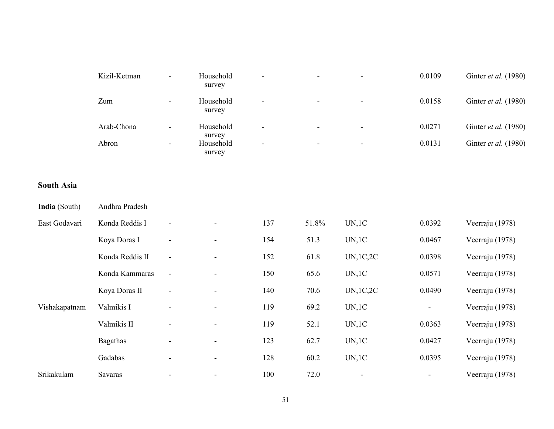|                   | Kizil-Ketman    |                              | Household<br>survey           |     |       |            | 0.0109         | Ginter et al. (1980) |
|-------------------|-----------------|------------------------------|-------------------------------|-----|-------|------------|----------------|----------------------|
|                   | Zum             | -                            | Household<br>survey           |     |       |            | 0.0158         | Ginter et al. (1980) |
|                   | Arab-Chona      | $\blacksquare$               | Household                     |     |       |            | 0.0271         | Ginter et al. (1980) |
|                   | Abron           | $\qquad \qquad \blacksquare$ | survey<br>Household<br>survey | ÷,  |       |            | 0.0131         | Ginter et al. (1980) |
| <b>South Asia</b> |                 |                              |                               |     |       |            |                |                      |
| India (South)     | Andhra Pradesh  |                              |                               |     |       |            |                |                      |
| East Godavari     | Konda Reddis I  | $\overline{\phantom{a}}$     |                               | 137 | 51.8% | UN, 1C     | 0.0392         | Veerraju (1978)      |
|                   | Koya Doras I    | $\overline{\phantom{a}}$     |                               | 154 | 51.3  | UN, 1C     | 0.0467         | Veerraju (1978)      |
|                   | Konda Reddis II | $\overline{\phantom{a}}$     |                               | 152 | 61.8  | UN, 1C, 2C | 0.0398         | Veerraju (1978)      |
|                   | Konda Kammaras  | $\overline{\phantom{a}}$     |                               | 150 | 65.6  | UN, 1C     | 0.0571         | Veerraju (1978)      |
|                   | Koya Doras II   | $\blacksquare$               |                               | 140 | 70.6  | UN,1C,2C   | 0.0490         | Veerraju (1978)      |
| Vishakapatnam     | Valmikis I      | $\qquad \qquad \blacksquare$ |                               | 119 | 69.2  | UN, 1C     | $\blacksquare$ | Veerraju (1978)      |
|                   | Valmikis II     | $\qquad \qquad \blacksquare$ |                               | 119 | 52.1  | UN, 1C     | 0.0363         | Veerraju (1978)      |
|                   | <b>Bagathas</b> | $\qquad \qquad \blacksquare$ | $\overline{\phantom{a}}$      | 123 | 62.7  | UN, 1C     | 0.0427         | Veerraju (1978)      |
|                   | Gadabas         | $\overline{\phantom{a}}$     | $\blacksquare$                | 128 | 60.2  | UN, 1C     | 0.0395         | Veerraju (1978)      |
| Srikakulam        | Savaras         | ÷,                           | $\blacksquare$                | 100 | 72.0  |            | $\overline{a}$ | Veerraju (1978)      |

#### 51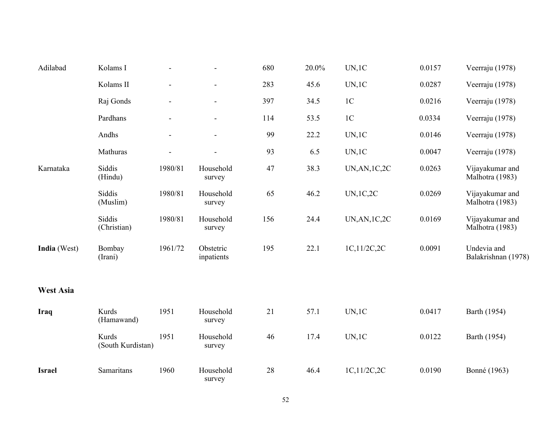| Adilabad         | Kolams I                   | $\blacksquare$               | $\blacksquare$           | 680 | 20.0% | UN, 1C                | 0.0157 | Veerraju (1978)                    |
|------------------|----------------------------|------------------------------|--------------------------|-----|-------|-----------------------|--------|------------------------------------|
|                  | Kolams II                  | ÷,                           | $\blacksquare$           | 283 | 45.6  | UN, 1C                | 0.0287 | Veerraju (1978)                    |
|                  | Raj Gonds                  | $\qquad \qquad \blacksquare$ | $\overline{\phantom{a}}$ | 397 | 34.5  | 1 <sup>C</sup>        | 0.0216 | Veerraju (1978)                    |
|                  | Pardhans                   | $\blacksquare$               | $\blacksquare$           | 114 | 53.5  | 1 <sup>C</sup>        | 0.0334 | Veerraju (1978)                    |
|                  | Andhs                      | $\overline{\phantom{a}}$     | $\blacksquare$           | 99  | 22.2  | UN, 1C                | 0.0146 | Veerraju (1978)                    |
|                  | Mathuras                   | ÷,                           |                          | 93  | 6.5   | UN, 1C                | 0.0047 | Veerraju (1978)                    |
| Karnataka        | Siddis<br>(Hindu)          | 1980/81                      | Household<br>survey      | 47  | 38.3  | <b>UN, AN, 1C, 2C</b> | 0.0263 | Vijayakumar and<br>Malhotra (1983) |
|                  | Siddis<br>(Muslim)         | 1980/81                      | Household<br>survey      | 65  | 46.2  | <b>UN,1C,2C</b>       | 0.0269 | Vijayakumar and<br>Malhotra (1983) |
|                  | Siddis<br>(Christian)      | 1980/81                      | Household<br>survey      | 156 | 24.4  | <b>UN, AN, 1C, 2C</b> | 0.0169 | Vijayakumar and<br>Malhotra (1983) |
| India (West)     | Bombay<br>(Irani)          | 1961/72                      | Obstetric<br>inpatients  | 195 | 22.1  | 1C,11/2C,2C           | 0.0091 | Undevia and<br>Balakrishnan (1978) |
| <b>West Asia</b> |                            |                              |                          |     |       |                       |        |                                    |
| Iraq             | Kurds<br>(Hamawand)        | 1951                         | Household<br>survey      | 21  | 57.1  | UN, 1C                | 0.0417 | Barth (1954)                       |
|                  | Kurds<br>(South Kurdistan) | 1951                         | Household<br>survey      | 46  | 17.4  | UN, 1C                | 0.0122 | Barth (1954)                       |
| <b>Israel</b>    | Samaritans                 | 1960                         | Household<br>survey      | 28  | 46.4  | 1C,11/2C,2C           | 0.0190 | Bonné (1963)                       |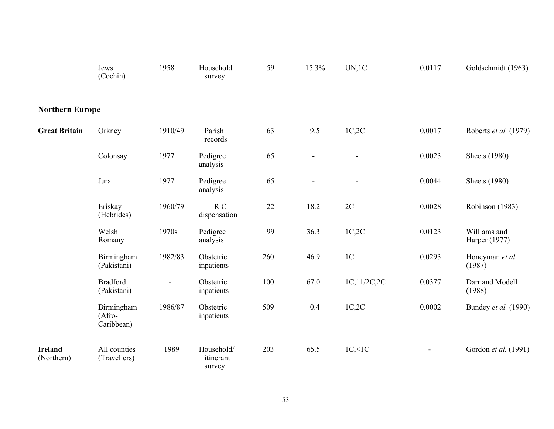|                              | Jews<br>(Cochin)                      | 1958           | Household<br>survey               | 59  | 15.3% | UN, 1C         | 0.0117         | Goldschmidt (1963)            |
|------------------------------|---------------------------------------|----------------|-----------------------------------|-----|-------|----------------|----------------|-------------------------------|
| <b>Northern Europe</b>       |                                       |                |                                   |     |       |                |                |                               |
| <b>Great Britain</b>         | Orkney                                | 1910/49        | Parish<br>records                 | 63  | 9.5   | 1C,2C          | 0.0017         | Roberts et al. (1979)         |
|                              | Colonsay                              | 1977           | Pedigree<br>analysis              | 65  |       |                | 0.0023         | <b>Sheets</b> (1980)          |
|                              | Jura                                  | 1977           | Pedigree<br>analysis              | 65  |       |                | 0.0044         | <b>Sheets</b> (1980)          |
|                              | Eriskay<br>(Hebrides)                 | 1960/79        | $R_{C}$<br>dispensation           | 22  | 18.2  | 2C             | 0.0028         | Robinson (1983)               |
|                              | Welsh<br>Romany                       | 1970s          | Pedigree<br>analysis              | 99  | 36.3  | 1C,2C          | 0.0123         | Williams and<br>Harper (1977) |
|                              | Birmingham<br>(Pakistani)             | 1982/83        | Obstetric<br>inpatients           | 260 | 46.9  | 1 <sup>C</sup> | 0.0293         | Honeyman et al.<br>(1987)     |
|                              | <b>Bradford</b><br>(Pakistani)        | $\blacksquare$ | Obstetric<br>inpatients           | 100 | 67.0  | 1C,11/2C,2C    | 0.0377         | Darr and Modell<br>(1988)     |
|                              | Birmingham<br>$(A$ fro-<br>Caribbean) | 1986/87        | Obstetric<br>inpatients           | 509 | 0.4   | 1C,2C          | 0.0002         | Bundey et al. (1990)          |
| <b>Ireland</b><br>(Northern) | All counties<br>(Travellers)          | 1989           | Household/<br>itinerant<br>survey | 203 | 65.5  | $1C,\leq 1C$   | $\blacksquare$ | Gordon et al. (1991)          |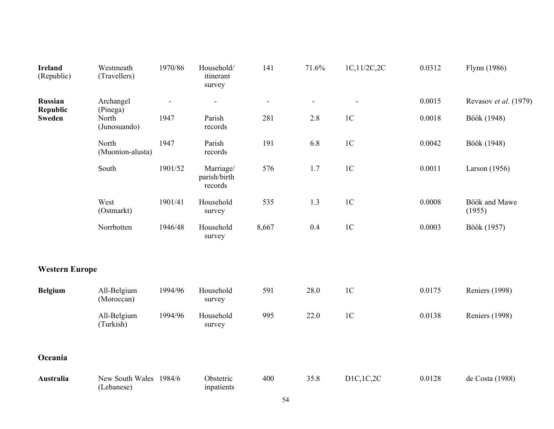| <b>Ireland</b><br>(Republic) | Westmeath<br>(Travellers)            | 1970/86 | Household/<br>itinerant<br>survey    | 141                      | 71.6%                        | 1C,11/2C,2C    | 0.0312 | Flynn (1986)            |
|------------------------------|--------------------------------------|---------|--------------------------------------|--------------------------|------------------------------|----------------|--------|-------------------------|
| Russian<br><b>Republic</b>   | Archangel                            |         | $\overline{\phantom{a}}$             | $\overline{\phantom{a}}$ | $\qquad \qquad \blacksquare$ |                | 0.0015 | Revasov et al. (1979)   |
| <b>Sweden</b>                | (Pinega)<br>North<br>(Junosuando)    | 1947    | Parish<br>records                    | 281                      | 2.8                          | 1 <sup>C</sup> | 0.0018 | Böök (1948)             |
|                              | North<br>(Muonion-alusta)            | 1947    | Parish<br>records                    | 191                      | 6.8                          | 1 <sup>C</sup> | 0.0042 | Böök (1948)             |
|                              | South                                | 1901/52 | Marriage/<br>parish/birth<br>records | 576                      | 1.7                          | 1 <sup>C</sup> | 0.0011 | Larson $(1956)$         |
|                              | West<br>(Ostmarkt)                   | 1901/41 | Household<br>survey                  | 535                      | 1.3                          | 1 <sup>C</sup> | 0.0008 | Böök and Mawe<br>(1955) |
|                              | Norrbotten                           | 1946/48 | Household<br>survey                  | 8,667                    | 0.4                          | 1 <sup>C</sup> | 0.0003 | Böök (1957)             |
| <b>Western Europe</b>        |                                      |         |                                      |                          |                              |                |        |                         |
| <b>Belgium</b>               | All-Belgium<br>(Moroccan)            | 1994/96 | Household<br>survey                  | 591                      | 28.0                         | 1 <sup>C</sup> | 0.0175 | <b>Reniers (1998)</b>   |
|                              | All-Belgium<br>(Turkish)             | 1994/96 | Household<br>survey                  | 995                      | 22.0                         | 1 <sup>C</sup> | 0.0138 | <b>Reniers (1998)</b>   |
| Oceania                      |                                      |         |                                      |                          |                              |                |        |                         |
| Australia                    | New South Wales 1984/6<br>(Lebanese) |         | Obstetric<br>inpatients              | 400                      | 35.8                         | D1C, 1C, 2C    | 0.0128 | de Costa (1988)         |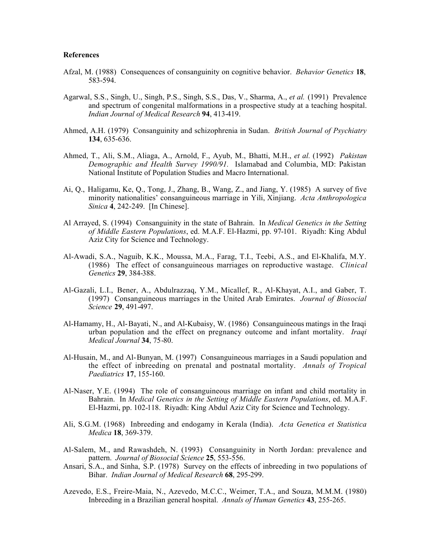#### **References**

- Afzal, M. (1988) Consequences of consanguinity on cognitive behavior. *Behavior Genetics* **18**, 583-594.
- Agarwal, S.S., Singh, U., Singh, P.S., Singh, S.S., Das, V., Sharma, A., *et al.* (1991) Prevalence and spectrum of congenital malformations in a prospective study at a teaching hospital. *Indian Journal of Medical Research* **94**, 413-419.
- Ahmed, A.H. (1979) Consanguinity and schizophrenia in Sudan. *British Journal of Psychiatry* **134**, 635-636.
- Ahmed, T., Ali, S.M., Aliaga, A., Arnold, F., Ayub, M., Bhatti, M.H., *et al.* (1992) *Pakistan Demographic and Health Survey 1990/91.* Islamabad and Columbia, MD: Pakistan National Institute of Population Studies and Macro International.
- Ai, Q., Haligamu, Ke, Q., Tong, J., Zhang, B., Wang, Z., and Jiang, Y. (1985) A survey of five minority nationalities' consanguineous marriage in Yili, Xinjiang. *Acta Anthropologica Sinica* **4**, 242-249. [In Chinese].
- Al Arrayed, S. (1994) Consanguinity in the state of Bahrain. In *Medical Genetics in the Setting of Middle Eastern Populations*, ed. M.A.F. El-Hazmi, pp. 97-101. Riyadh: King Abdul Aziz City for Science and Technology.
- Al-Awadi, S.A., Naguib, K.K., Moussa, M.A., Farag, T.I., Teebi, A.S., and El-Khalifa, M.Y. (1986) The effect of consanguineous marriages on reproductive wastage. *Clinical Genetics* **29**, 384-388.
- Al-Gazali, L.I., Bener, A., Abdulrazzaq, Y.M., Micallef, R., Al-Khayat, A.I., and Gaber, T. (1997) Consanguineous marriages in the United Arab Emirates. *Journal of Biosocial Science* **29**, 491-497.
- Al-Hamamy, H., Al-Bayati, N., and Al-Kubaisy, W. (1986) Consanguineous matings in the Iraqi urban population and the effect on pregnancy outcome and infant mortality. *Iraqi Medical Journal* **34**, 75-80.
- Al-Husain, M., and Al-Bunyan, M. (1997) Consanguineous marriages in a Saudi population and the effect of inbreeding on prenatal and postnatal mortality. *Annals of Tropical Paediatrics* **17**, 155-160.
- Al-Naser, Y.E. (1994) The role of consanguineous marriage on infant and child mortality in Bahrain. In *Medical Genetics in the Setting of Middle Eastern Populations*, ed. M.A.F. El-Hazmi, pp. 102-118. Riyadh: King Abdul Aziz City for Science and Technology.
- Ali, S.G.M. (1968) Inbreeding and endogamy in Kerala (India). *Acta Genetica et Statistica Medica* **18**, 369-379.
- Al-Salem, M., and Rawashdeh, N. (1993) Consanguinity in North Jordan: prevalence and pattern. *Journal of Biosocial Science* **25**, 553-556.
- Ansari, S.A., and Sinha, S.P. (1978) Survey on the effects of inbreeding in two populations of Bihar. *Indian Journal of Medical Research* **68**, 295-299.
- Azevedo, E.S., Freire-Maia, N., Azevedo, M.C.C., Weimer, T.A., and Souza, M.M.M. (1980) Inbreeding in a Brazilian general hospital. *Annals of Human Genetics* **43**, 255-265.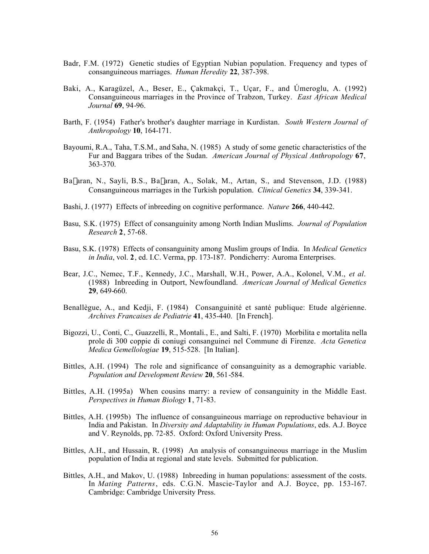- Badr, F.M. (1972) Genetic studies of Egyptian Nubian population. Frequency and types of consanguineous marriages. *Human Heredity* **22**, 387-398.
- Baki, A., Karagüzel, A., Beser, E., Çakmakçi, T., Uçar, F., and Úmeroglu, A. (1992) Consanguineous marriages in the Province of Trabzon, Turkey. *East African Medical Journal* **69**, 94-96.
- Barth, F. (1954) Father's brother's daughter marriage in Kurdistan. *South Western Journal of Anthropology* **10**, 164-171.
- Bayoumi, R.A., Taha, T.S.M., and Saha, N. (1985) A study of some genetic characteristics of the Fur and Baggara tribes of the Sudan. *American Journal of Physical Anthropology* **67**, 363-370.
- Ba<sup> $|$ </sup>aran, N., Sayli, B.S., Ba $|$ aran, A., Solak, M., Artan, S., and Stevenson, J.D. (1988) Consanguineous marriages in the Turkish population. *Clinical Genetics* **34**, 339-341.
- Bashi, J. (1977) Effects of inbreeding on cognitive performance. *Nature* **266**, 440-442.
- Basu, S.K. (1975) Effect of consanguinity among North Indian Muslims. *Journal of Population Research* **2**, 57-68.
- Basu, S.K. (1978) Effects of consanguinity among Muslim groups of India. In *Medical Genetics in India*, vol. **2**, ed. I.C. Verma, pp. 173-187. Pondicherry: Auroma Enterprises.
- Bear, J.C., Nemec, T.F., Kennedy, J.C., Marshall, W.H., Power, A.A., Kolonel, V.M., *et al*. (1988) Inbreeding in Outport, Newfoundland. *American Journal of Medical Genetics* **29**, 649-660.
- Benallègue, A., and Kedji, F. (1984) Consanguinité et santé publique: Etude algérienne. *Archives Francaises de Pediatrie* **41**, 435-440. [In French].
- Bigozzi, U., Conti, C., Guazzelli, R., Montali., E., and Salti, F. (1970) Morbilita e mortalita nella prole di 300 coppie di coniugi consanguinei nel Commune di Firenze. *Acta Genetica Medica Gemellologiae* **19**, 515-528. [In Italian].
- Bittles, A.H. (1994) The role and significance of consanguinity as a demographic variable. *Population and Development Review* **20**, 561-584.
- Bittles, A.H. (1995a) When cousins marry: a review of consanguinity in the Middle East. *Perspectives in Human Biology* **1**, 71-83.
- Bittles, A.H. (1995b) The influence of consanguineous marriage on reproductive behaviour in India and Pakistan. In *Diversity and Adaptability in Human Populations*, eds. A.J. Boyce and V. Reynolds, pp. 72-85. Oxford: Oxford University Press.
- Bittles, A.H., and Hussain, R. (1998) An analysis of consanguineous marriage in the Muslim population of India at regional and state levels. Submitted for publication.
- Bittles, A.H., and Makov, U. (1988) Inbreeding in human populations: assessment of the costs. In *Mating Patterns*, eds. C.G.N. Mascie-Taylor and A.J. Boyce, pp. 153-167. Cambridge: Cambridge University Press.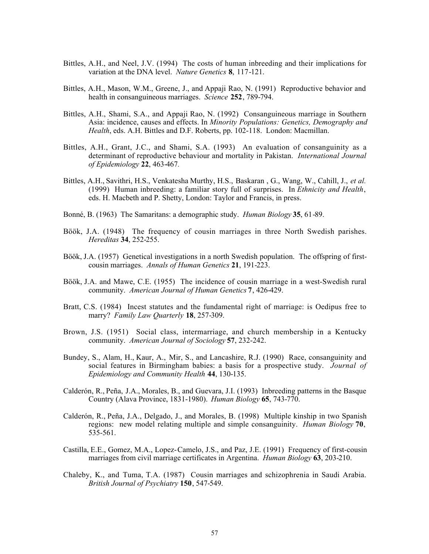- Bittles, A.H., and Neel, J.V. (1994) The costs of human inbreeding and their implications for variation at the DNA level. *Nature Genetics* **8**, 117-121.
- Bittles, A.H., Mason, W.M., Greene, J., and Appaji Rao, N. (1991) Reproductive behavior and health in consanguineous marriages. *Science* **252**, 789-794.
- Bittles, A.H., Shami, S.A., and Appaji Rao, N. (1992) Consanguineous marriage in Southern Asia: incidence, causes and effects. In *Minority Populations: Genetics, Demography and Health*, eds. A.H. Bittles and D.F. Roberts, pp. 102-118. London: Macmillan.
- Bittles, A.H., Grant, J.C., and Shami, S.A. (1993) An evaluation of consanguinity as a determinant of reproductive behaviour and mortality in Pakistan. *International Journal of Epidemiology* **22**, 463-467*.*
- Bittles, A.H., Savithri, H.S., Venkatesha Murthy, H.S., Baskaran , G., Wang, W., Cahill, J., *et al.* (1999) Human inbreeding: a familiar story full of surprises. In *Ethnicity and Health*, eds. H. Macbeth and P. Shetty, London: Taylor and Francis, in press.
- Bonné, B. (1963) The Samaritans: a demographic study. *Human Biology* **35**, 61-89.
- Böök, J.A. (1948) The frequency of cousin marriages in three North Swedish parishes. *Hereditas* **34**, 252-255.
- Böök, J.A. (1957) Genetical investigations in a north Swedish population. The offspring of firstcousin marriages. *Annals of Human Genetics* **21**, 191-223.
- Böök, J.A. and Mawe, C.E. (1955) The incidence of cousin marriage in a west-Swedish rural community. *American Journal of Human Genetics* **7**, 426-429.
- Bratt, C.S. (1984) Incest statutes and the fundamental right of marriage: is Oedipus free to marry? *Family Law Quarterly* **18**, 257-309.
- Brown, J.S. (1951) Social class, intermarriage, and church membership in a Kentucky community. *American Journal of Sociology* **57**, 232-242.
- Bundey, S., Alam, H., Kaur, A., Mir, S., and Lancashire, R.J. (1990) Race, consanguinity and social features in Birmingham babies: a basis for a prospective study. *Journal of Epidemiology and Community Health* **44**, 130-135.
- Calderón, R., Peña, J.A., Morales, B., and Guevara, J.I. (1993) Inbreeding patterns in the Basque Country (Alava Province, 1831-1980). *Human Biology* **65**, 743-770.
- Calderón, R., Peña, J.A., Delgado, J., and Morales, B. (1998) Multiple kinship in two Spanish regions: new model relating multiple and simple consanguinity. *Human Biology* **70**, 535-561.
- Castilla, E.E., Gomez, M.A., Lopez-Camelo, J.S., and Paz, J.E. (1991) Frequency of first-cousin marriages from civil marriage certificates in Argentina. *Human Biology* **63**, 203-210.
- Chaleby, K., and Tuma, T.A. (1987) Cousin marriages and schizophrenia in Saudi Arabia. *British Journal of Psychiatry* **150**, 547-549.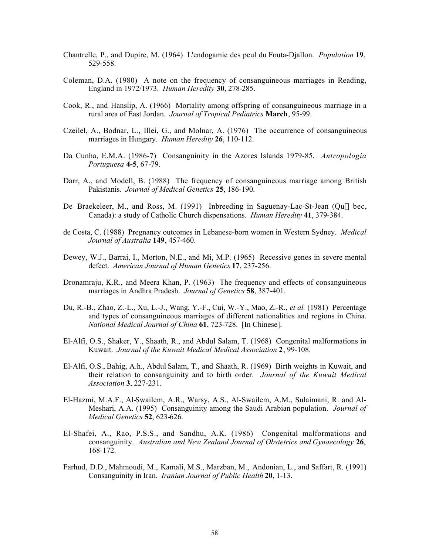- Chantrelle, P., and Dupire, M. (1964) L'endogamie des peul du Fouta-Djallon. *Population* **19**, 529-558.
- Coleman, D.A. (1980) A note on the frequency of consanguineous marriages in Reading, England in 1972/1973. *Human Heredity* **30**, 278-285.
- Cook, R., and Hanslip, A. (1966) Mortality among offspring of consanguineous marriage in a rural area of East Jordan. *Journal of Tropical Pediatrics* **March**, 95-99.
- Czeilel, A., Bodnar, L., Illei, G., and Molnar, A. (1976) The occurrence of consanguineous marriages in Hungary. *Human Heredity* **26**, 110-112.
- Da Cunha, E.M.A. (1986-7) Consanguinity in the Azores Islands 1979-85. *Antropologia Portuguesa* **4-5**, 67-79.
- Darr, A., and Modell, B. (1988) The frequency of consanguineous marriage among British Pakistanis. *Journal of Medical Genetics* **25**, 186-190.
- De Braekeleer, M., and Ross, M.  $(1991)$  Inbreeding in Saguenay-Lac-St-Jean  $(Qu$ —bec, Canada): a study of Catholic Church dispensations. *Human Heredity* **41**, 379-384.
- de Costa, C. (1988) Pregnancy outcomes in Lebanese-born women in Western Sydney. *Medical Journal of Australia* **149**, 457-460.
- Dewey, W.J., Barrai, I., Morton, N.E., and Mi, M.P. (1965) Recessive genes in severe mental defect. *American Journal of Human Genetics* **17**, 237-256.
- Dronamraju, K.R., and Meera Khan, P. (1963) The frequency and effects of consanguineous marriages in Andhra Pradesh. *Journal of Genetics* **58**, 387-401.
- Du, R.-B., Zhao, Z.-L., Xu, L.-J., Wang, Y.-F., Cui, W.-Y., Mao, Z.-R., *et al.* (1981) Percentage and types of consanguineous marriages of different nationalities and regions in China. *National Medical Journal of China* **61**, 723-728. [In Chinese].
- El-Alfi, O.S., Shaker, Y., Shaath, R., and Abdul Salam, T. (1968) Congenital malformations in Kuwait. *Journal of the Kuwait Medical Medical Association* **2**, 99-108.
- El-Alfi, O.S., Bahig, A.h., Abdul Salam, T., and Shaath, R. (1969) Birth weights in Kuwait, and their relation to consanguinity and to birth order. *Journal of the Kuwait Medical Association* **3**, 227-231.
- El-Hazmi, M.A.F., Al-Swailem, A.R., Warsy, A.S., Al-Swailem, A.M., Sulaimani, R. and Al-Meshari, A.A. (1995) Consanguinity among the Saudi Arabian population. *Journal of Medical Genetics* **52**, 623-626.
- El-Shafei, A., Rao, P.S.S., and Sandhu, A.K. (1986) Congenital malformations and consanguinity. *Australian and New Zealand Journal of Obstetrics and Gynaecology* **26**, 168-172.
- Farhud, D.D., Mahmoudi, M., Kamali, M.S., Marzban, M., Andonian, L., and Saffart, R. (1991) Consanguinity in Iran. *Iranian Journal of Public Health* **20**, 1-13.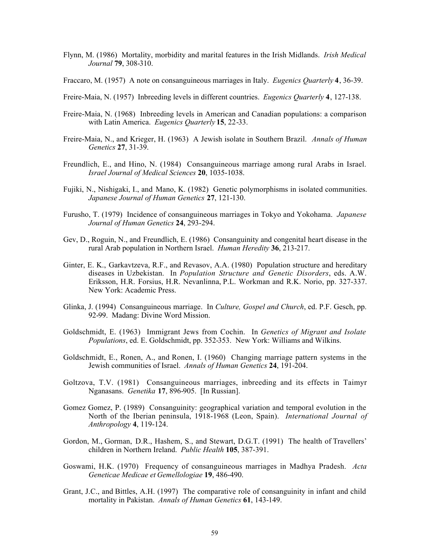- Flynn, M. (1986) Mortality, morbidity and marital features in the Irish Midlands. *Irish Medical Journal* **79**, 308-310.
- Fraccaro, M. (1957) A note on consanguineous marriages in Italy. *Eugenics Quarterly* **4**, 36-39.
- Freire-Maia, N. (1957) Inbreeding levels in different countries. *Eugenics Quarterly* **4**, 127-138.
- Freire-Maia, N. (1968) Inbreeding levels in American and Canadian populations: a comparison with Latin America. *Eugenics Quarterly* **15**, 22-33.
- Freire-Maia, N., and Krieger, H. (1963) A Jewish isolate in Southern Brazil. *Annals of Human Genetics* **27**, 31-39.
- Freundlich, E., and Hino, N. (1984) Consanguineous marriage among rural Arabs in Israel. *Israel Journal of Medical Sciences* **20**, 1035-1038.
- Fujiki, N., Nishigaki, I., and Mano, K. (1982) Genetic polymorphisms in isolated communities. *Japanese Journal of Human Genetics* **27**, 121-130.
- Furusho, T. (1979) Incidence of consanguineous marriages in Tokyo and Yokohama. *Japanese Journal of Human Genetics* **24**, 293-294.
- Gev, D., Roguin, N., and Freundlich, E. (1986) Consanguinity and congenital heart disease in the rural Arab population in Northern Israel. *Human Heredity* **36**, 213-217.
- Ginter, E. K., Garkavtzeva, R.F., and Revasov, A.A. (1980) Population structure and hereditary diseases in Uzbekistan. In *Population Structure and Genetic Disorders*, eds. A.W. Eriksson, H.R. Forsius, H.R. Nevanlinna, P.L. Workman and R.K. Norio, pp. 327-337. New York: Academic Press.
- Glinka, J. (1994) Consanguineous marriage. In *Culture, Gospel and Church*, ed. P.F. Gesch, pp. 92-99. Madang: Divine Word Mission.
- Goldschmidt, E. (1963) Immigrant Jews from Cochin. In *Genetics of Migrant and Isolate Populations*, ed. E. Goldschmidt, pp. 352-353. New York: Williams and Wilkins.
- Goldschmidt, E., Ronen, A., and Ronen, I. (1960) Changing marriage pattern systems in the Jewish communities of Israel. *Annals of Human Genetics* **24**, 191-204.
- Goltzova, T.V. (1981) Consanguineous marriages, inbreeding and its effects in Taimyr Nganasans. *Genetika* **17**, 896-905. [In Russian].
- Gomez Gomez, P. (1989) Consanguinity: geographical variation and temporal evolution in the North of the Iberian peninsula, 1918-1968 (Leon, Spain). *International Journal of Anthropology* **4**, 119-124.
- Gordon, M., Gorman, D.R., Hashem, S., and Stewart, D.G.T. (1991) The health of Travellers' children in Northern Ireland. *Public Health* **105**, 387-391.
- Goswami, H.K. (1970) Frequency of consanguineous marriages in Madhya Pradesh. *Acta Geneticae Medicae et Gemellologiae* **19**, 486-490.
- Grant, J.C., and Bittles, A.H. (1997) The comparative role of consanguinity in infant and child mortality in Pakistan. *Annals of Human Genetics* **61**, 143-149.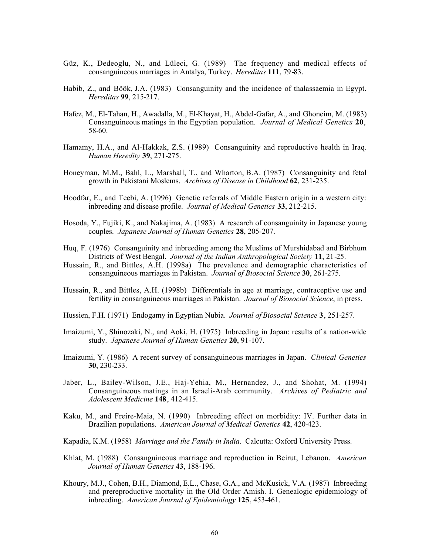- Güz, K., Dedeoglu, N., and Lüleci, G. (1989) The frequency and medical effects of consanguineous marriages in Antalya, Turkey. *Hereditas* **111**, 79-83.
- Habib, Z., and Böök, J.A. (1983) Consanguinity and the incidence of thalassaemia in Egypt. *Hereditas* **99**, 215-217.
- Hafez, M., El-Tahan, H., Awadalla, M., El-Khayat, H., Abdel-Gafar, A., and Ghoneim, M. (1983) Consanguineous matings in the Egyptian population. *Journal of Medical Genetics* **20**, 58-60.
- Hamamy, H.A., and Al-Hakkak, Z.S. (1989) Consanguinity and reproductive health in Iraq. *Human Heredity* **39**, 271-275.
- Honeyman, M.M., Bahl, L., Marshall, T., and Wharton, B.A. (1987) Consanguinity and fetal growth in Pakistani Moslems. *Archives of Disease in Childhood* **62**, 231-235.
- Hoodfar, E., and Teebi, A. (1996) Genetic referrals of Middle Eastern origin in a western city: inbreeding and disease profile. *Journal of Medical Genetics* **33**, 212-215.
- Hosoda, Y., Fujiki, K., and Nakajima, A. (1983) A research of consanguinity in Japanese young couples. *Japanese Journal of Human Genetics* **28**, 205-207.
- Huq, F. (1976) Consanguinity and inbreeding among the Muslims of Murshidabad and Birbhum Districts of West Bengal. *Journal of the Indian Anthropological Society* **11**, 21-25.
- Hussain, R., and Bittles, A.H. (1998a) The prevalence and demographic characteristics of consanguineous marriages in Pakistan. *Journal of Biosocial Science* **30**, 261-275*.*
- Hussain, R., and Bittles, A.H. (1998b) Differentials in age at marriage, contraceptive use and fertility in consanguineous marriages in Pakistan. *Journal of Biosocial Science*, in press.
- Hussien, F.H. (1971) Endogamy in Egyptian Nubia. *Journal of Biosocial Science* **3**, 251-257.
- Imaizumi, Y., Shinozaki, N., and Aoki, H. (1975) Inbreeding in Japan: results of a nation-wide study. *Japanese Journal of Human Genetics* **20**, 91-107.
- Imaizumi, Y. (1986) A recent survey of consanguineous marriages in Japan. *Clinical Genetics* **30**, 230-233.
- Jaber, L., Bailey-Wilson, J.E., Haj-Yehia, M., Hernandez, J., and Shohat, M. (1994) Consanguineous matings in an Israeli-Arab community. *Archives of Pediatric and Adolescent Medicine* **148**, 412-415.
- Kaku, M., and Freire-Maia, N. (1990) Inbreeding effect on morbidity: IV. Further data in Brazilian populations. *American Journal of Medical Genetics* **42**, 420-423.
- Kapadia, K.M. (1958) *Marriage and the Family in India*. Calcutta: Oxford University Press.
- Khlat, M. (1988) Consanguineous marriage and reproduction in Beirut, Lebanon. *American Journal of Human Genetics* **43**, 188-196.
- Khoury, M.J., Cohen, B.H., Diamond, E.L., Chase, G.A., and McKusick, V.A. (1987) Inbreeding and prereproductive mortality in the Old Order Amish. I. Genealogic epidemiology of inbreeding. *American Journal of Epidemiology* **125**, 453-461.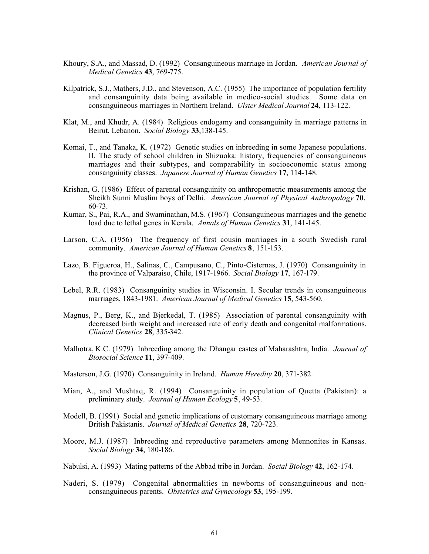- Khoury, S.A., and Massad, D. (1992) Consanguineous marriage in Jordan. *American Journal of Medical Genetics* **43**, 769-775.
- Kilpatrick, S.J., Mathers, J.D., and Stevenson, A.C. (1955) The importance of population fertility and consanguinity data being available in medico-social studies. Some data on consanguineous marriages in Northern Ireland. *Ulster Medical Journal* **24**, 113-122.
- Klat, M., and Khudr, A. (1984) Religious endogamy and consanguinity in marriage patterns in Beirut, Lebanon. *Social Biology* **33**,138-145.
- Komai, T., and Tanaka, K. (1972) Genetic studies on inbreeding in some Japanese populations. II. The study of school children in Shizuoka: history, frequencies of consanguineous marriages and their subtypes, and comparability in socioeconomic status among consanguinity classes. *Japanese Journal of Human Genetics* **17**, 114-148.
- Krishan, G. (1986) Effect of parental consanguinity on anthropometric measurements among the Sheikh Sunni Muslim boys of Delhi. *American Journal of Physical Anthropology* **70**, 60-73.
- Kumar, S., Pai, R.A., and Swaminathan, M.S. (1967) Consanguineous marriages and the genetic load due to lethal genes in Kerala. *Annals of Human Genetics* **31**, 141-145.
- Larson, C.A. (1956) The frequency of first cousin marriages in a south Swedish rural community. *American Journal of Human Genetics* **8**, 151-153.
- Lazo, B. Figueroa, H., Salinas, C., Campusano, C., Pinto-Cisternas, J. (1970) Consanguinity in the province of Valparaiso, Chile, 1917-1966. *Social Biology* **17**, 167-179.
- Lebel, R.R. (1983) Consanguinity studies in Wisconsin. I. Secular trends in consanguineous marriages, 1843-1981. *American Journal of Medical Genetics* **15**, 543-560.
- Magnus, P., Berg, K., and Bjerkedal, T. (1985) Association of parental consanguinity with decreased birth weight and increased rate of early death and congenital malformations. *Clinical Genetics* **28**, 335-342.
- Malhotra, K.C. (1979) Inbreeding among the Dhangar castes of Maharashtra, India. *Journal of Biosocial Science* **11**, 397-409.
- Masterson, J.G. (1970) Consanguinity in Ireland. *Human Heredity* **20**, 371-382.
- Mian, A., and Mushtaq, R. (1994) Consanguinity in population of Quetta (Pakistan): a preliminary study. *Journal of Human Ecology* **5**, 49-53.
- Modell, B. (1991) Social and genetic implications of customary consanguineous marriage among British Pakistanis. *Journal of Medical Genetics* **28**, 720-723.
- Moore, M.J. (1987) Inbreeding and reproductive parameters among Mennonites in Kansas. *Social Biology* **34**, 180-186.
- Nabulsi, A. (1993) Mating patterns of the Abbad tribe in Jordan. *Social Biology* **42**, 162-174.
- Naderi, S. (1979) Congenital abnormalities in newborns of consanguineous and nonconsanguineous parents. *Obstetrics and Gynecology* **53**, 195-199.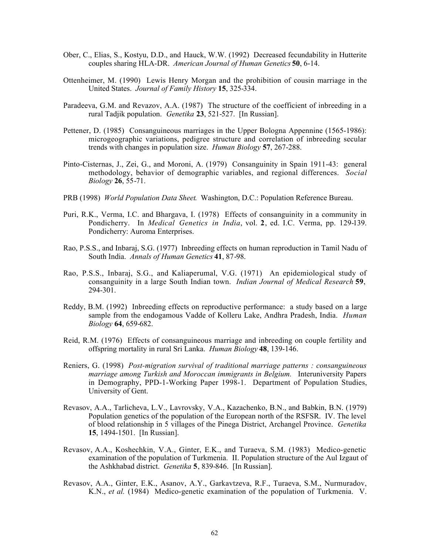- Ober, C., Elias, S., Kostyu, D.D., and Hauck, W.W. (1992) Decreased fecundability in Hutterite couples sharing HLA-DR. *American Journal of Human Genetics* **50**, 6-14.
- Ottenheimer, M. (1990) Lewis Henry Morgan and the prohibition of cousin marriage in the United States. *Journal of Family History* **15**, 325-334.
- Paradeeva, G.M. and Revazov, A.A. (1987) The structure of the coefficient of inbreeding in a rural Tadjik population. *Genetika* **23**, 521-527. [In Russian].
- Pettener, D. (1985) Consanguineous marriages in the Upper Bologna Appennine (1565-1986): microgeographic variations, pedigree structure and correlation of inbreeding secular trends with changes in population size. *Human Biology* **57**, 267-288.
- Pinto-Cisternas, J., Zei, G., and Moroni, A. (1979) Consanguinity in Spain 1911-43: general methodology, behavior of demographic variables, and regional differences. *Social Biology* **26**, 55-71.
- PRB (1998) *World Population Data Sheet*. Washington, D.C.: Population Reference Bureau.
- Puri, R.K., Verma, I.C. and Bhargava, I. (1978) Effects of consanguinity in a community in Pondicherry. In *Medical Genetics in India*, vol. **2**, ed. I.C. Verma, pp. 129-139. Pondicherry: Auroma Enterprises.
- Rao, P.S.S., and Inbaraj, S.G. (1977) Inbreeding effects on human reproduction in Tamil Nadu of South India. *Annals of Human Genetics* **41**, 87-98.
- Rao, P.S.S., Inbaraj, S.G., and Kaliaperumal, V.G. (1971) An epidemiological study of consanguinity in a large South Indian town. *Indian Journal of Medical Research* **59**, 294-301.
- Reddy, B.M. (1992) Inbreeding effects on reproductive performance: a study based on a large sample from the endogamous Vadde of Kolleru Lake, Andhra Pradesh, India. *Human Biology* **64**, 659-682.
- Reid, R.M. (1976) Effects of consanguineous marriage and inbreeding on couple fertility and offspring mortality in rural Sri Lanka. *Human Biology* **48**, 139-146.
- Reniers, G. (1998) *Post-migration survival of traditional marriage patterns : consanguineous marriage among Turkish and Moroccan immigrants in Belgium.* Interuniversity Papers in Demography, PPD-1-Working Paper 1998-1. Department of Population Studies, University of Gent.
- Revasov, A.A., Tarlicheva, L.V., Lavrovsky, V.A., Kazachenko, B.N., and Babkin, B.N. (1979) Population genetics of the population of the European north of the RSFSR. IV. The level of blood relationship in 5 villages of the Pinega District, Archangel Province. *Genetika* **15**, 1494-1501. [In Russian].
- Revasov, A.A., Koshechkin, V.A., Ginter, E.K., and Turaeva, S.M. (1983) Medico-genetic examination of the population of Turkmenia. II. Population structure of the Aul Izgaut of the Ashkhabad district. *Genetika* **5**, 839-846. [In Russian].
- Revasov, A.A., Ginter, E.K., Asanov, A.Y., Garkavtzeva, R.F., Turaeva, S.M., Nurmuradov, K.N., *et al.* (1984) Medico-genetic examination of the population of Turkmenia. V.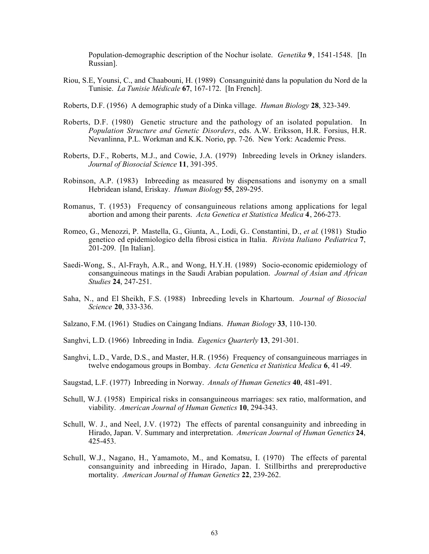Population-demographic description of the Nochur isolate. *Genetika* **9**, 1541-1548. [In Russian].

- Riou, S.E, Younsi, C., and Chaabouni, H. (1989) Consanguinité dans la population du Nord de la Tunisie. *La Tunisie Médicale* **67**, 167-172. [In French].
- Roberts, D.F. (1956) A demographic study of a Dinka village. *Human Biology* **28**, 323-349.
- Roberts, D.F. (1980) Genetic structure and the pathology of an isolated population. In *Population Structure and Genetic Disorders*, eds. A.W. Eriksson, H.R. Forsius, H.R. Nevanlinna, P.L. Workman and K.K. Norio, pp. 7-26. New York: Academic Press.
- Roberts, D.F., Roberts, M.J., and Cowie, J.A. (1979) Inbreeding levels in Orkney islanders. *Journal of Biosocial Science* **11**, 391-395.
- Robinson, A.P. (1983) Inbreeding as measured by dispensations and isonymy on a small Hebridean island, Eriskay. *Human Biology* **55**, 289-295.
- Romanus, T. (1953) Frequency of consanguineous relations among applications for legal abortion and among their parents. *Acta Genetica et Statistica Medica* **4**, 266-273.
- Romeo, G., Menozzi, P. Mastella, G., Giunta, A., Lodi, G.. Constantini, D., *et al*. (1981) Studio genetico ed epidemiologico della fibrosi cistica in Italia. *Rivista Italiano Pediatrica* **7**, 201-209. [In Italian].
- Saedi-Wong, S., Al-Frayh, A.R., and Wong, H.Y.H. (1989) Socio-economic epidemiology of consanguineous matings in the Saudi Arabian population. *Journal of Asian and African Studies* **24**, 247-251.
- Saha, N., and El Sheikh, F.S. (1988) Inbreeding levels in Khartoum. *Journal of Biosocial Science* **20**, 333-336.
- Salzano, F.M. (1961) Studies on Caingang Indians. *Human Biology* **33**, 110-130.
- Sanghvi, L.D. (1966) Inbreeding in India. *Eugenics Quarterly* **13**, 291-301.
- Sanghvi, L.D., Varde, D.S., and Master, H.R. (1956) Frequency of consanguineous marriages in twelve endogamous groups in Bombay. *Acta Genetica et Statistica Medica* **6**, 41-49.
- Saugstad, L.F. (1977) Inbreeding in Norway. *Annals of Human Genetics* **40**, 481-491.
- Schull, W.J. (1958) Empirical risks in consanguineous marriages: sex ratio, malformation, and viability. *American Journal of Human Genetics* **10**, 294-343.
- Schull, W. J., and Neel, J.V. (1972) The effects of parental consanguinity and inbreeding in Hirado, Japan. V. Summary and interpretation. *American Journal of Human Genetics* **24**, 425-453.
- Schull, W.J., Nagano, H., Yamamoto, M., and Komatsu, I. (1970) The effects of parental consanguinity and inbreeding in Hirado, Japan. I. Stillbirths and prereproductive mortality. *American Journal of Human Genetics* **22**, 239-262.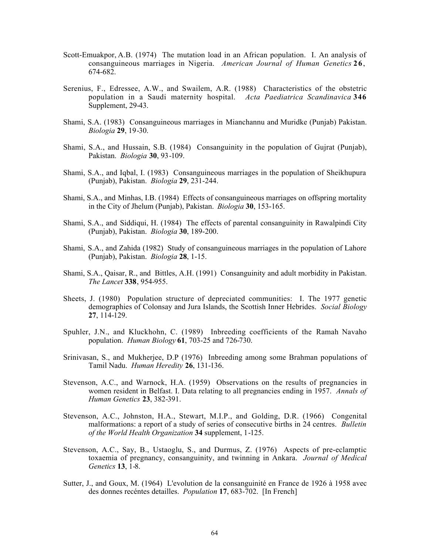- Scott-Emuakpor, A.B. (1974) The mutation load in an African population. I. An analysis of consanguineous marriages in Nigeria. *American Journal of Human Genetics* **26**, 674-682.
- Serenius, F., Edressee, A.W., and Swailem, A.R. (1988) Characteristics of the obstetric population in a Saudi maternity hospital. *Acta Paediatrica Scandinavica* **346** Supplement, 29-43.
- Shami, S.A. (1983) Consanguineous marriages in Mianchannu and Muridke (Punjab) Pakistan. *Biologia* **29**, 19-30.
- Shami, S.A., and Hussain, S.B. (1984) Consanguinity in the population of Gujrat (Punjab), Pakistan. *Biologia* **30**, 93-109.
- Shami, S.A., and Iqbal, I. (1983) Consanguineous marriages in the population of Sheikhupura (Punjab), Pakistan. *Biologia* **29**, 231-244.
- Shami, S.A., and Minhas, I.B. (1984) Effects of consanguineous marriages on offspring mortality in the City of Jhelum (Punjab), Pakistan. *Biologia* **30**, 153-165.
- Shami, S.A., and Siddiqui, H. (1984) The effects of parental consanguinity in Rawalpindi City (Punjab), Pakistan. *Biologia* **30**, 189-200.
- Shami, S.A., and Zahida (1982) Study of consanguineous marriages in the population of Lahore (Punjab), Pakistan. *Biologia* **28**, 1-15.
- Shami, S.A., Qaisar, R., and Bittles, A.H. (1991) Consanguinity and adult morbidity in Pakistan. *The Lancet* **338**, 954-955.
- Sheets, J. (1980) Population structure of depreciated communities: I. The 1977 genetic demographies of Colonsay and Jura Islands, the Scottish Inner Hebrides. *Social Biology* **27**, 114-129.
- Spuhler, J.N., and Kluckhohn, C. (1989) Inbreeding coefficients of the Ramah Navaho population. *Human Biology* **61**, 703-25 and 726-730.
- Srinivasan, S., and Mukherjee, D.P (1976) Inbreeding among some Brahman populations of Tamil Nadu. *Human Heredity* **26**, 131-136.
- Stevenson, A.C., and Warnock, H.A. (1959) Observations on the results of pregnancies in women resident in Belfast. I. Data relating to all pregnancies ending in 1957. *Annals of Human Genetics* **23**, 382-391.
- Stevenson, A.C., Johnston, H.A., Stewart, M.I.P., and Golding, D.R. (1966) Congenital malformations: a report of a study of series of consecutive births in 24 centres. *Bulletin of the World Health Organization* **34** supplement, 1-125.
- Stevenson, A.C., Say, B., Ustaoglu, S., and Durmus, Z. (1976) Aspects of pre-eclamptic toxaemia of pregnancy, consanguinity, and twinning in Ankara. *Journal of Medical Genetics* **13**, 1-8.
- Sutter, J., and Goux, M. (1964) L'evolution de la consanguinité en France de 1926 à 1958 avec des donnes recéntes detailles. *Population* **17**, 683-702. [In French]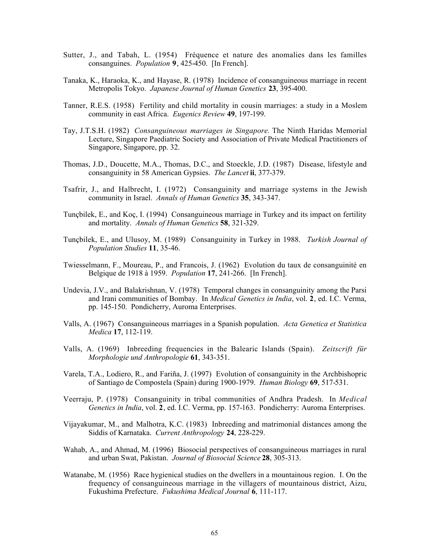- Sutter, J., and Tabah, L. (1954) Fréquence et nature des anomalies dans les familles consanguines. *Population* **9**, 425-450. [In French].
- Tanaka, K., Haraoka, K., and Hayase, R. (1978) Incidence of consanguineous marriage in recent Metropolis Tokyo. *Japanese Journal of Human Genetics* **23**, 395-400.
- Tanner, R.E.S. (1958) Fertility and child mortality in cousin marriages: a study in a Moslem community in east Africa. *Eugenics Review* **49**, 197-199.
- Tay, J.T.S.H. (1982) *Consanguineous marriages in Singapore.* The Ninth Haridas Memorial Lecture, Singapore Paediatric Society and Association of Private Medical Practitioners of Singapore, Singapore, pp. 32.
- Thomas, J.D., Doucette, M.A., Thomas, D.C., and Stoeckle, J.D. (1987) Disease, lifestyle and consanguinity in 58 American Gypsies. *The Lancet* **ii**, 377-379.
- Tsafrir, J., and Halbrecht, I. (1972) Consanguinity and marriage systems in the Jewish community in Israel. *Annals of Human Genetics* **35**, 343-347.
- Tunçbilek, E., and Koç, I. (1994) Consanguineous marriage in Turkey and its impact on fertility and mortality. *Annals of Human Genetics* **58**, 321-329.
- Tunçbilek, E., and Ulusoy, M. (1989) Consanguinity in Turkey in 1988. *Turkish Journal of Population Studies* **11**, 35-46.
- Twiesselmann, F., Moureau, P., and Francois, J. (1962) Evolution du taux de consanguinité en Belgique de 1918 à 1959. *Population* **17**, 241-266. [In French].
- Undevia, J.V., and Balakrishnan, V. (1978) Temporal changes in consanguinity among the Parsi and Irani communities of Bombay. In *Medical Genetics in India*, vol. **2**, ed. I.C. Verma, pp. 145-150. Pondicherry, Auroma Enterprises.
- Valls, A. (1967) Consanguineous marriages in a Spanish population. *Acta Genetica et Statistica Medica* **17**, 112-119.
- Valls, A. (1969) Inbreeding frequencies in the Balearic Islands (Spain). *Zeitscrift für Morphologie und Anthropologie* **61**, 343-351.
- Varela, T.A., Lodiero, R., and Fariña, J. (1997) Evolution of consanguinity in the Archbishopric of Santiago de Compostela (Spain) during 1900-1979. *Human Biology* **69**, 517-531.
- Veerraju, P. (1978) Consanguinity in tribal communities of Andhra Pradesh. In *Medical Genetics in India*, vol. **2**, ed. I.C. Verma, pp. 157-163. Pondicherry: Auroma Enterprises.
- Vijayakumar, M., and Malhotra, K.C. (1983) Inbreeding and matrimonial distances among the Siddis of Karnataka. *Current Anthropology* **24**, 228-229.
- Wahab, A., and Ahmad, M. (1996) Biosocial perspectives of consanguineous marriages in rural and urban Swat, Pakistan. *Journal of Biosocial Science* **28**, 305-313.
- Watanabe, M. (1956) Race hygienical studies on the dwellers in a mountainous region. I. On the frequency of consanguineous marriage in the villagers of mountainous district, Aizu, Fukushima Prefecture. *Fukushima Medical Journal* **6**, 111-117.